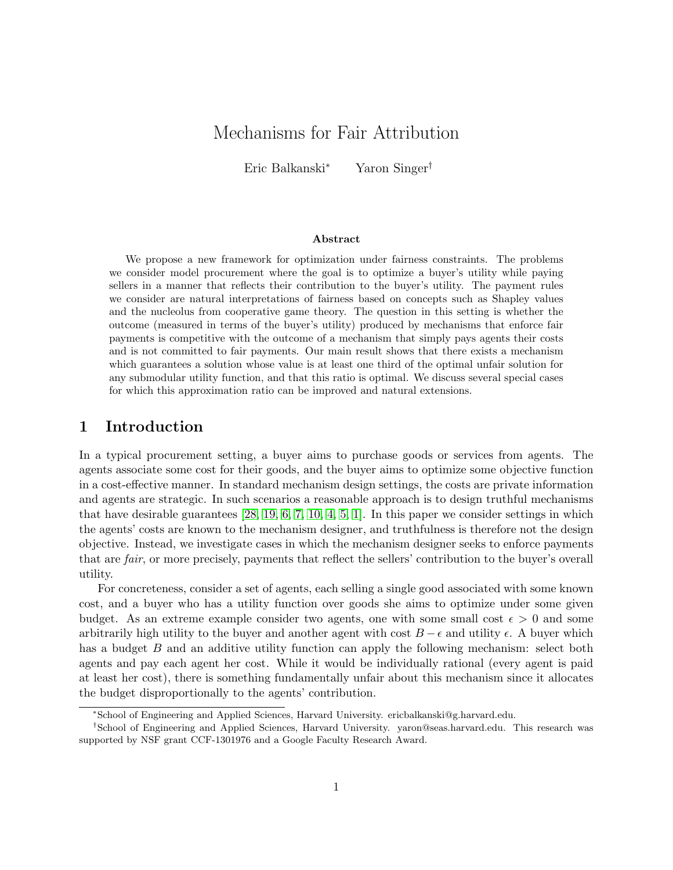## Mechanisms for Fair Attribution

Eric Balkanski<sup>∗</sup> Yaron Singer†

#### Abstract

We propose a new framework for optimization under fairness constraints. The problems we consider model procurement where the goal is to optimize a buyer's utility while paying sellers in a manner that reflects their contribution to the buyer's utility. The payment rules we consider are natural interpretations of fairness based on concepts such as Shapley values and the nucleolus from cooperative game theory. The question in this setting is whether the outcome (measured in terms of the buyer's utility) produced by mechanisms that enforce fair payments is competitive with the outcome of a mechanism that simply pays agents their costs and is not committed to fair payments. Our main result shows that there exists a mechanism which guarantees a solution whose value is at least one third of the optimal unfair solution for any submodular utility function, and that this ratio is optimal. We discuss several special cases for which this approximation ratio can be improved and natural extensions.

### 1 Introduction

In a typical procurement setting, a buyer aims to purchase goods or services from agents. The agents associate some cost for their goods, and the buyer aims to optimize some objective function in a cost-effective manner. In standard mechanism design settings, the costs are private information and agents are strategic. In such scenarios a reasonable approach is to design truthful mechanisms that have desirable guarantees  $[28, 19, 6, 7, 10, 4, 5, 1]$  $[28, 19, 6, 7, 10, 4, 5, 1]$  $[28, 19, 6, 7, 10, 4, 5, 1]$  $[28, 19, 6, 7, 10, 4, 5, 1]$  $[28, 19, 6, 7, 10, 4, 5, 1]$  $[28, 19, 6, 7, 10, 4, 5, 1]$  $[28, 19, 6, 7, 10, 4, 5, 1]$  $[28, 19, 6, 7, 10, 4, 5, 1]$ . In this paper we consider settings in which the agents' costs are known to the mechanism designer, and truthfulness is therefore not the design objective. Instead, we investigate cases in which the mechanism designer seeks to enforce payments that are fair, or more precisely, payments that reflect the sellers' contribution to the buyer's overall utility.

For concreteness, consider a set of agents, each selling a single good associated with some known cost, and a buyer who has a utility function over goods she aims to optimize under some given budget. As an extreme example consider two agents, one with some small cost  $\epsilon > 0$  and some arbitrarily high utility to the buyer and another agent with cost  $B - \epsilon$  and utility  $\epsilon$ . A buyer which has a budget B and an additive utility function can apply the following mechanism: select both agents and pay each agent her cost. While it would be individually rational (every agent is paid at least her cost), there is something fundamentally unfair about this mechanism since it allocates the budget disproportionally to the agents' contribution.

<sup>∗</sup>School of Engineering and Applied Sciences, Harvard University. ericbalkanski@g.harvard.edu.

<sup>†</sup>School of Engineering and Applied Sciences, Harvard University. yaron@seas.harvard.edu. This research was supported by NSF grant CCF-1301976 and a Google Faculty Research Award.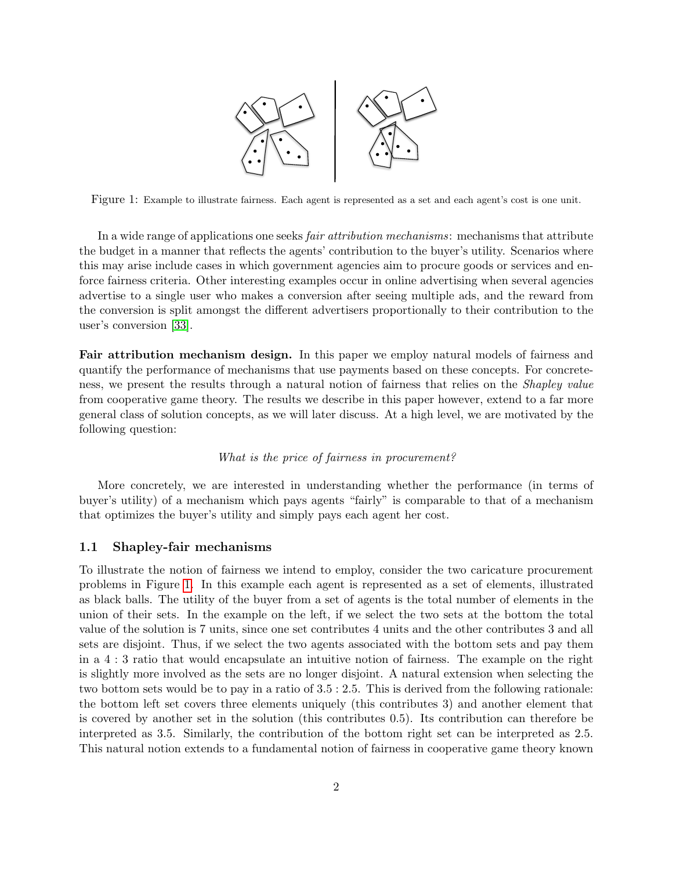

<span id="page-1-0"></span>Figure 1: Example to illustrate fairness. Each agent is represented as a set and each agent's cost is one unit.

In a wide range of applications one seeks fair attribution mechanisms: mechanisms that attribute the budget in a manner that reflects the agents' contribution to the buyer's utility. Scenarios where this may arise include cases in which government agencies aim to procure goods or services and enforce fairness criteria. Other interesting examples occur in online advertising when several agencies advertise to a single user who makes a conversion after seeing multiple ads, and the reward from the conversion is split amongst the different advertisers proportionally to their contribution to the user's conversion [\[33\]](#page-20-0).

Fair attribution mechanism design. In this paper we employ natural models of fairness and quantify the performance of mechanisms that use payments based on these concepts. For concreteness, we present the results through a natural notion of fairness that relies on the *Shapley value* from cooperative game theory. The results we describe in this paper however, extend to a far more general class of solution concepts, as we will later discuss. At a high level, we are motivated by the following question:

#### What is the price of fairness in procurement?

More concretely, we are interested in understanding whether the performance (in terms of buyer's utility) of a mechanism which pays agents "fairly" is comparable to that of a mechanism that optimizes the buyer's utility and simply pays each agent her cost.

### 1.1 Shapley-fair mechanisms

To illustrate the notion of fairness we intend to employ, consider the two caricature procurement problems in Figure [1.](#page-1-0) In this example each agent is represented as a set of elements, illustrated as black balls. The utility of the buyer from a set of agents is the total number of elements in the union of their sets. In the example on the left, if we select the two sets at the bottom the total value of the solution is 7 units, since one set contributes 4 units and the other contributes 3 and all sets are disjoint. Thus, if we select the two agents associated with the bottom sets and pay them in a 4 : 3 ratio that would encapsulate an intuitive notion of fairness. The example on the right is slightly more involved as the sets are no longer disjoint. A natural extension when selecting the two bottom sets would be to pay in a ratio of 3.5 : 2.5. This is derived from the following rationale: the bottom left set covers three elements uniquely (this contributes 3) and another element that is covered by another set in the solution (this contributes 0.5). Its contribution can therefore be interpreted as 3.5. Similarly, the contribution of the bottom right set can be interpreted as 2.5. This natural notion extends to a fundamental notion of fairness in cooperative game theory known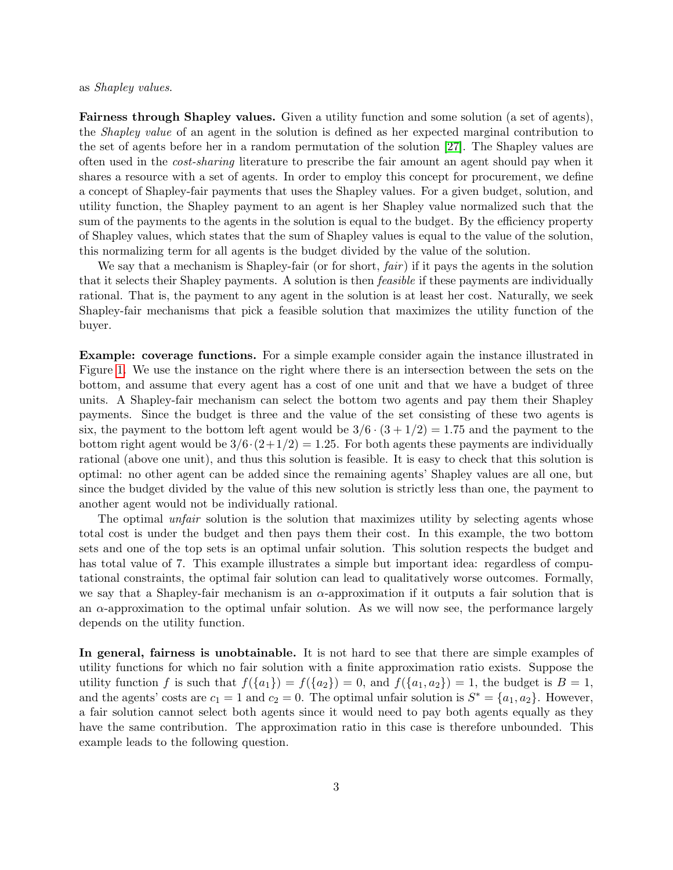#### as Shapley values.

Fairness through Shapley values. Given a utility function and some solution (a set of agents), the Shapley value of an agent in the solution is defined as her expected marginal contribution to the set of agents before her in a random permutation of the solution [\[27\]](#page-19-2). The Shapley values are often used in the cost-sharing literature to prescribe the fair amount an agent should pay when it shares a resource with a set of agents. In order to employ this concept for procurement, we define a concept of Shapley-fair payments that uses the Shapley values. For a given budget, solution, and utility function, the Shapley payment to an agent is her Shapley value normalized such that the sum of the payments to the agents in the solution is equal to the budget. By the efficiency property of Shapley values, which states that the sum of Shapley values is equal to the value of the solution, this normalizing term for all agents is the budget divided by the value of the solution.

We say that a mechanism is Shapley-fair (or for short,  $fair$ ) if it pays the agents in the solution that it selects their Shapley payments. A solution is then feasible if these payments are individually rational. That is, the payment to any agent in the solution is at least her cost. Naturally, we seek Shapley-fair mechanisms that pick a feasible solution that maximizes the utility function of the buyer.

Example: coverage functions. For a simple example consider again the instance illustrated in Figure [1.](#page-1-0) We use the instance on the right where there is an intersection between the sets on the bottom, and assume that every agent has a cost of one unit and that we have a budget of three units. A Shapley-fair mechanism can select the bottom two agents and pay them their Shapley payments. Since the budget is three and the value of the set consisting of these two agents is six, the payment to the bottom left agent would be  $3/6 \cdot (3 + 1/2) = 1.75$  and the payment to the bottom right agent would be  $3/6 \cdot (2+1/2) = 1.25$ . For both agents these payments are individually rational (above one unit), and thus this solution is feasible. It is easy to check that this solution is optimal: no other agent can be added since the remaining agents' Shapley values are all one, but since the budget divided by the value of this new solution is strictly less than one, the payment to another agent would not be individually rational.

The optimal *unfair* solution is the solution that maximizes utility by selecting agents whose total cost is under the budget and then pays them their cost. In this example, the two bottom sets and one of the top sets is an optimal unfair solution. This solution respects the budget and has total value of 7. This example illustrates a simple but important idea: regardless of computational constraints, the optimal fair solution can lead to qualitatively worse outcomes. Formally, we say that a Shapley-fair mechanism is an  $\alpha$ -approximation if it outputs a fair solution that is an  $\alpha$ -approximation to the optimal unfair solution. As we will now see, the performance largely depends on the utility function.

In general, fairness is unobtainable. It is not hard to see that there are simple examples of utility functions for which no fair solution with a finite approximation ratio exists. Suppose the utility function f is such that  $f(\lbrace a_1 \rbrace) = f(\lbrace a_2 \rbrace) = 0$ , and  $f(\lbrace a_1, a_2 \rbrace) = 1$ , the budget is  $B = 1$ , and the agents' costs are  $c_1 = 1$  and  $c_2 = 0$ . The optimal unfair solution is  $S^* = \{a_1, a_2\}$ . However, a fair solution cannot select both agents since it would need to pay both agents equally as they have the same contribution. The approximation ratio in this case is therefore unbounded. This example leads to the following question.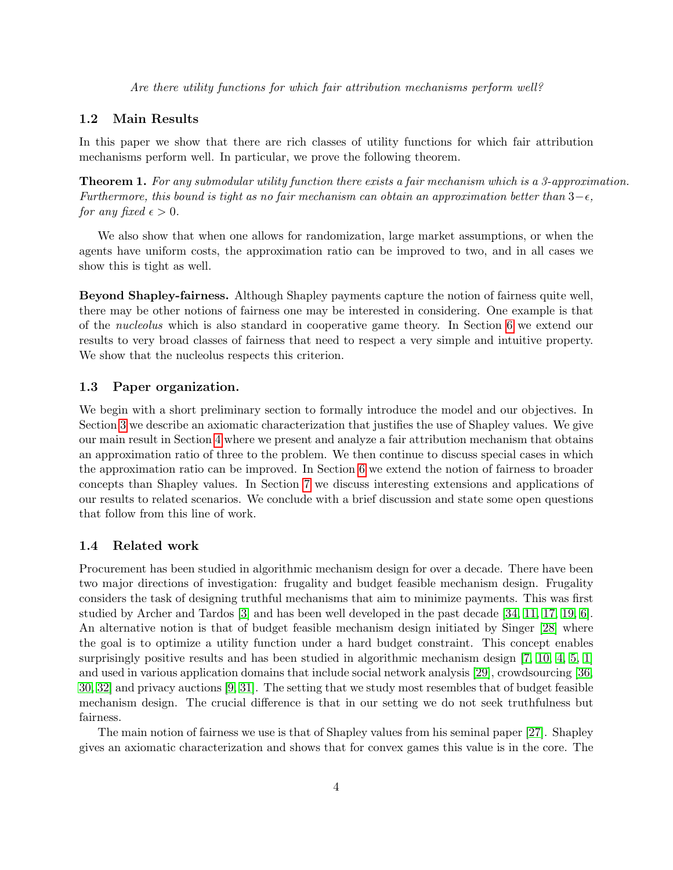Are there utility functions for which fair attribution mechanisms perform well?

### 1.2 Main Results

In this paper we show that there are rich classes of utility functions for which fair attribution mechanisms perform well. In particular, we prove the following theorem.

Theorem 1. For any submodular utility function there exists a fair mechanism which is a 3-approximation. Furthermore, this bound is tight as no fair mechanism can obtain an approximation better than  $3-\epsilon$ . for any fixed  $\epsilon > 0$ .

We also show that when one allows for randomization, large market assumptions, or when the agents have uniform costs, the approximation ratio can be improved to two, and in all cases we show this is tight as well.

Beyond Shapley-fairness. Although Shapley payments capture the notion of fairness quite well, there may be other notions of fairness one may be interested in considering. One example is that of the nucleolus which is also standard in cooperative game theory. In Section [6](#page-14-0) we extend our results to very broad classes of fairness that need to respect a very simple and intuitive property. We show that the nucleolus respects this criterion.

### 1.3 Paper organization.

We begin with a short preliminary section to formally introduce the model and our objectives. In Section [3](#page-5-0) we describe an axiomatic characterization that justifies the use of Shapley values. We give our main result in Section [4](#page-6-0) where we present and analyze a fair attribution mechanism that obtains an approximation ratio of three to the problem. We then continue to discuss special cases in which the approximation ratio can be improved. In Section [6](#page-14-0) we extend the notion of fairness to broader concepts than Shapley values. In Section [7](#page-16-0) we discuss interesting extensions and applications of our results to related scenarios. We conclude with a brief discussion and state some open questions that follow from this line of work.

### 1.4 Related work

Procurement has been studied in algorithmic mechanism design for over a decade. There have been two major directions of investigation: frugality and budget feasible mechanism design. Frugality considers the task of designing truthful mechanisms that aim to minimize payments. This was first studied by Archer and Tardos [\[3\]](#page-18-5) and has been well developed in the past decade [\[34,](#page-20-1) [11,](#page-18-6) [17,](#page-19-3) [19,](#page-19-1) [6\]](#page-18-0). An alternative notion is that of budget feasible mechanism design initiated by Singer [\[28\]](#page-19-0) where the goal is to optimize a utility function under a hard budget constraint. This concept enables surprisingly positive results and has been studied in algorithmic mechanism design [\[7,](#page-18-1) [10,](#page-18-2) [4,](#page-18-3) [5,](#page-18-4) [1\]](#page-17-0) and used in various application domains that include social network analysis [\[29\]](#page-19-4), crowdsourcing [\[36,](#page-20-2) [30,](#page-19-5) [32\]](#page-20-3) and privacy auctions [\[9,](#page-18-7) [31\]](#page-19-6). The setting that we study most resembles that of budget feasible mechanism design. The crucial difference is that in our setting we do not seek truthfulness but fairness.

The main notion of fairness we use is that of Shapley values from his seminal paper [\[27\]](#page-19-2). Shapley gives an axiomatic characterization and shows that for convex games this value is in the core. The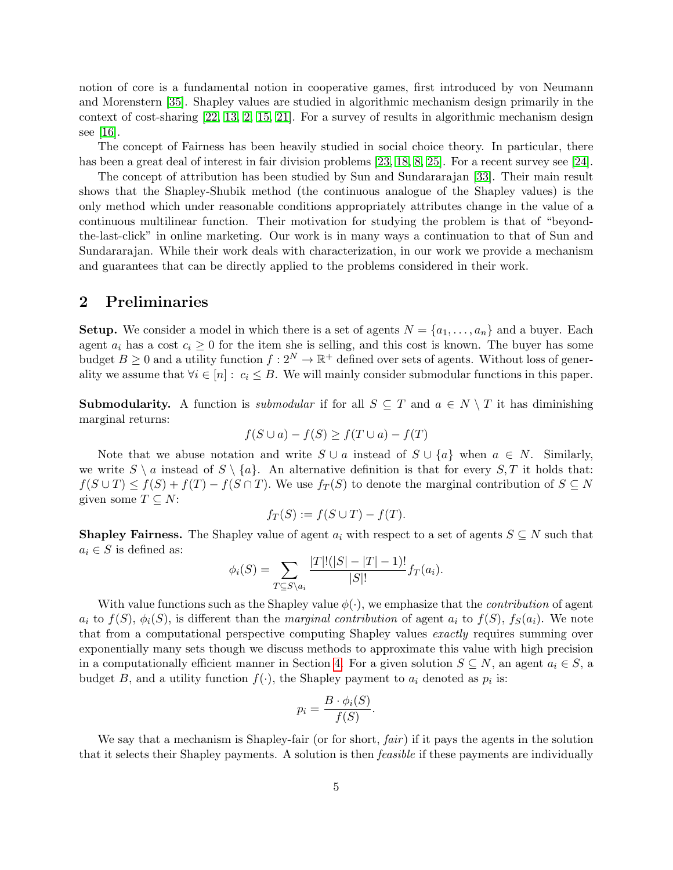notion of core is a fundamental notion in cooperative games, first introduced by von Neumann and Morenstern [\[35\]](#page-20-4). Shapley values are studied in algorithmic mechanism design primarily in the context of cost-sharing [\[22,](#page-19-7) [13,](#page-18-8) [2,](#page-18-9) [15,](#page-18-10) [21\]](#page-19-8). For a survey of results in algorithmic mechanism design see [\[16\]](#page-19-9).

The concept of Fairness has been heavily studied in social choice theory. In particular, there has been a great deal of interest in fair division problems [\[23,](#page-19-10) [18,](#page-19-11) [8,](#page-18-11) [25\]](#page-19-12). For a recent survey see [\[24\]](#page-19-13).

The concept of attribution has been studied by Sun and Sundararajan [\[33\]](#page-20-0). Their main result shows that the Shapley-Shubik method (the continuous analogue of the Shapley values) is the only method which under reasonable conditions appropriately attributes change in the value of a continuous multilinear function. Their motivation for studying the problem is that of "beyondthe-last-click" in online marketing. Our work is in many ways a continuation to that of Sun and Sundararajan. While their work deals with characterization, in our work we provide a mechanism and guarantees that can be directly applied to the problems considered in their work.

### 2 Preliminaries

**Setup.** We consider a model in which there is a set of agents  $N = \{a_1, \ldots, a_n\}$  and a buyer. Each agent  $a_i$  has a cost  $c_i \geq 0$  for the item she is selling, and this cost is known. The buyer has some budget  $B \geq 0$  and a utility function  $f : 2^N \to \mathbb{R}^+$  defined over sets of agents. Without loss of generality we assume that  $\forall i \in [n]: c_i \leq B$ . We will mainly consider submodular functions in this paper.

**Submodularity.** A function is *submodular* if for all  $S \subseteq T$  and  $a \in N \setminus T$  it has diminishing marginal returns:

$$
f(S \cup a) - f(S) \ge f(T \cup a) - f(T)
$$

Note that we abuse notation and write  $S \cup a$  instead of  $S \cup \{a\}$  when  $a \in N$ . Similarly, we write  $S \setminus a$  instead of  $S \setminus \{a\}$ . An alternative definition is that for every  $S, T$  it holds that:  $f(S \cup T) \leq f(S) + f(T) - f(S \cap T)$ . We use  $f_T(S)$  to denote the marginal contribution of  $S \subseteq N$ given some  $T \subseteq N$ :

$$
f_T(S) := f(S \cup T) - f(T).
$$

**Shapley Fairness.** The Shapley value of agent  $a_i$  with respect to a set of agents  $S \subseteq N$  such that  $a_i \in S$  is defined as:

$$
\phi_i(S) = \sum_{T \subseteq S \setminus a_i} \frac{|T|!(|S| - |T| - 1)!}{|S|!} f_T(a_i).
$$

With value functions such as the Shapley value  $\phi(\cdot)$ , we emphasize that the *contribution* of agent  $a_i$  to  $f(S)$ ,  $\phi_i(S)$ , is different than the marginal contribution of agent  $a_i$  to  $f(S)$ ,  $f_S(a_i)$ . We note that from a computational perspective computing Shapley values *exactly* requires summing over exponentially many sets though we discuss methods to approximate this value with high precision in a computationally efficient manner in Section [4.](#page-6-0) For a given solution  $S \subseteq N$ , an agent  $a_i \in S$ , a budget B, and a utility function  $f(\cdot)$ , the Shapley payment to  $a_i$  denoted as  $p_i$  is:

$$
p_i = \frac{B \cdot \phi_i(S)}{f(S)}.
$$

We say that a mechanism is Shapley-fair (or for short,  $fair$ ) if it pays the agents in the solution that it selects their Shapley payments. A solution is then *feasible* if these payments are individually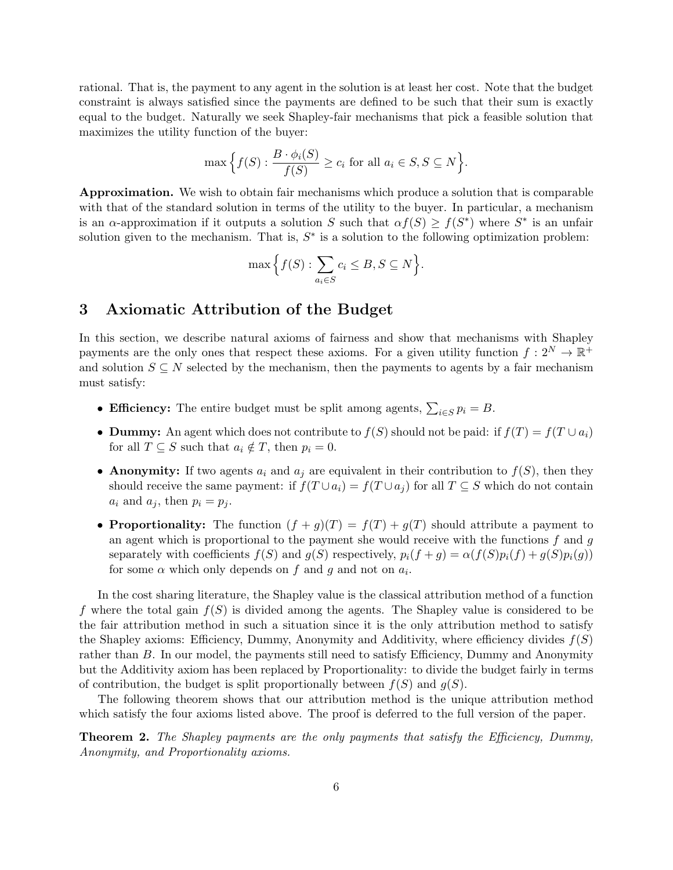rational. That is, the payment to any agent in the solution is at least her cost. Note that the budget constraint is always satisfied since the payments are defined to be such that their sum is exactly equal to the budget. Naturally we seek Shapley-fair mechanisms that pick a feasible solution that maximizes the utility function of the buyer:

$$
\max\Big\{f(S): \frac{B \cdot \phi_i(S)}{f(S)} \ge c_i \text{ for all } a_i \in S, S \subseteq N\Big\}.
$$

Approximation. We wish to obtain fair mechanisms which produce a solution that is comparable with that of the standard solution in terms of the utility to the buyer. In particular, a mechanism is an  $\alpha$ -approximation if it outputs a solution S such that  $\alpha f(S) \geq f(S^*)$  where  $S^*$  is an unfair solution given to the mechanism. That is,  $S^*$  is a solution to the following optimization problem:

$$
\max \Big\{ f(S) : \sum_{a_i \in S} c_i \leq B, S \subseteq N \Big\}.
$$

### <span id="page-5-0"></span>3 Axiomatic Attribution of the Budget

In this section, we describe natural axioms of fairness and show that mechanisms with Shapley payments are the only ones that respect these axioms. For a given utility function  $f: 2^N \to \mathbb{R}^+$ and solution  $S \subseteq N$  selected by the mechanism, then the payments to agents by a fair mechanism must satisfy:

- Efficiency: The entire budget must be split among agents,  $\sum_{i \in S} p_i = B$ .
- Dummy: An agent which does not contribute to  $f(S)$  should not be paid: if  $f(T) = f(T \cup a_i)$ for all  $T \subseteq S$  such that  $a_i \notin T$ , then  $p_i = 0$ .
- Anonymity: If two agents  $a_i$  and  $a_j$  are equivalent in their contribution to  $f(S)$ , then they should receive the same payment: if  $f(T \cup a_i) = f(T \cup a_j)$  for all  $T \subseteq S$  which do not contain  $a_i$  and  $a_j$ , then  $p_i = p_j$ .
- Proportionality: The function  $(f + g)(T) = f(T) + g(T)$  should attribute a payment to an agent which is proportional to the payment she would receive with the functions  $f$  and  $g$ separately with coefficients  $f(S)$  and  $g(S)$  respectively,  $p_i(f+g) = \alpha(f(S)p_i(f) + g(S)p_i(g))$ for some  $\alpha$  which only depends on f and g and not on  $a_i$ .

In the cost sharing literature, the Shapley value is the classical attribution method of a function f where the total gain  $f(S)$  is divided among the agents. The Shapley value is considered to be the fair attribution method in such a situation since it is the only attribution method to satisfy the Shapley axioms: Efficiency, Dummy, Anonymity and Additivity, where efficiency divides  $f(S)$ rather than B. In our model, the payments still need to satisfy Efficiency, Dummy and Anonymity but the Additivity axiom has been replaced by Proportionality: to divide the budget fairly in terms of contribution, the budget is split proportionally between  $f(S)$  and  $g(S)$ .

The following theorem shows that our attribution method is the unique attribution method which satisfy the four axioms listed above. The proof is deferred to the full version of the paper.

<span id="page-5-1"></span>Theorem 2. The Shapley payments are the only payments that satisfy the Efficiency, Dummy, Anonymity, and Proportionality axioms.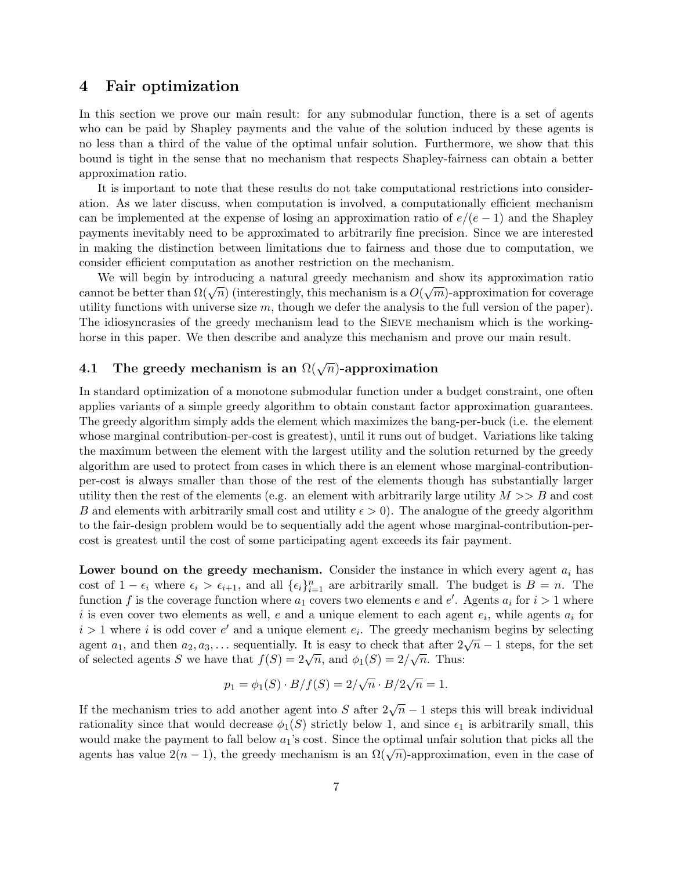### <span id="page-6-0"></span>4 Fair optimization

In this section we prove our main result: for any submodular function, there is a set of agents who can be paid by Shapley payments and the value of the solution induced by these agents is no less than a third of the value of the optimal unfair solution. Furthermore, we show that this bound is tight in the sense that no mechanism that respects Shapley-fairness can obtain a better approximation ratio.

It is important to note that these results do not take computational restrictions into consideration. As we later discuss, when computation is involved, a computationally efficient mechanism can be implemented at the expense of losing an approximation ratio of  $e/(e-1)$  and the Shapley payments inevitably need to be approximated to arbitrarily fine precision. Since we are interested in making the distinction between limitations due to fairness and those due to computation, we consider efficient computation as another restriction on the mechanism.

We will begin by introducing a natural greedy mechanism and show its approximation ratio we will begin by introducing a natural greedy mechanism and show its approximation ratio cannot be better than  $\Omega(\sqrt{n})$  (interestingly, this mechanism is a  $O(\sqrt{m})$ -approximation for coverage utility functions with universe size  $m$ , though we defer the analysis to the full version of the paper). The idiosyncrasies of the greedy mechanism lead to the SIEVE mechanism which is the workinghorse in this paper. We then describe and analyze this mechanism and prove our main result.

# 4.1 The greedy mechanism is an  $\Omega(\sqrt{n})$ -approximation

In standard optimization of a monotone submodular function under a budget constraint, one often applies variants of a simple greedy algorithm to obtain constant factor approximation guarantees. The greedy algorithm simply adds the element which maximizes the bang-per-buck (i.e. the element whose marginal contribution-per-cost is greatest), until it runs out of budget. Variations like taking the maximum between the element with the largest utility and the solution returned by the greedy algorithm are used to protect from cases in which there is an element whose marginal-contributionper-cost is always smaller than those of the rest of the elements though has substantially larger utility then the rest of the elements (e.g. an element with arbitrarily large utility  $M >> B$  and cost B and elements with arbitrarily small cost and utility  $\epsilon > 0$ . The analogue of the greedy algorithm to the fair-design problem would be to sequentially add the agent whose marginal-contribution-percost is greatest until the cost of some participating agent exceeds its fair payment.

Lower bound on the greedy mechanism. Consider the instance in which every agent  $a_i$  has cost of  $1 - \epsilon_i$  where  $\epsilon_i > \epsilon_{i+1}$ , and all  $\{\epsilon_i\}_{i=1}^n$  are arbitrarily small. The budget is  $B = n$ . The function f is the coverage function where  $a_1$  covers two elements e and e'. Agents  $a_i$  for  $i > 1$  where i is even cover two elements as well, e and a unique element to each agent  $e_i$ , while agents  $a_i$  for  $i > 1$  where i is odd cover e' and a unique element  $e_i$ . The greedy mechanism begins by selecting  $a_1$ , and then  $a_2, a_3, \ldots$  sequentially. It is easy to check that after  $2\sqrt{n} - 1$  steps, for the set agent  $a_1$ , and then  $a_2, a_3, \ldots$  sequentially. It is easy to check that after  $2\pi$ <br>of selected agents S we have that  $f(S) = 2\sqrt{n}$ , and  $\phi_1(S) = 2/\sqrt{n}$ . Thus:

$$
p_1 = \phi_1(S) \cdot B/f(S) = 2/\sqrt{n} \cdot B/2\sqrt{n} = 1.
$$

If the mechanism tries to add another agent into S after  $2\sqrt{n}-1$  steps this will break individual rationality since that would decrease  $\phi_1(S)$  strictly below 1, and since  $\epsilon_1$  is arbitrarily small, this would make the payment to fall below  $a_1$ 's cost. Since the optimal unfair solution that picks all the would make the payment to fail below  $u_1$  s cost. Since the optimal unian solution that picks an the agents has value  $2(n-1)$ , the greedy mechanism is an  $\Omega(\sqrt{n})$ -approximation, even in the case of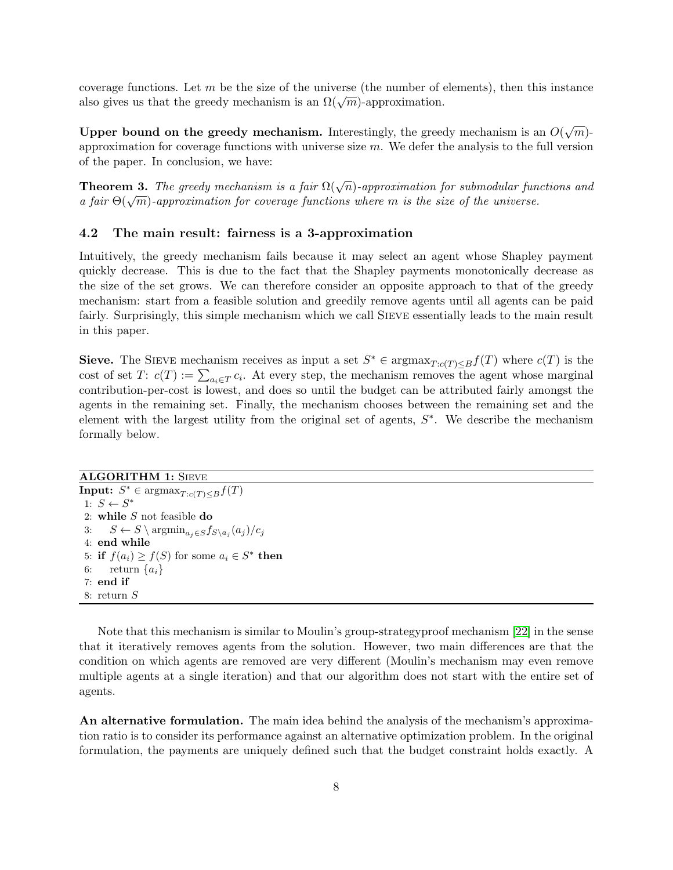coverage functions. Let  $m$  be the size of the universe (the number of elements), then this instance coverage functions. Let *m* be the size of the universe (the number of data diso gives us that the greedy mechanism is an  $\Omega(\sqrt{m})$ -approximation.

Upper bound on the greedy mechanism. Interestingly, the greedy mechanism is an  $O(\sqrt{m})$ approximation for coverage functions with universe size  $m$ . We defer the analysis to the full version of the paper. In conclusion, we have:

**Theorem 3.** The greedy mechanism is a fair  $\Omega(\sqrt{n})$ -approximation for submodular functions and **Theorem 3.** The greety mechanism is a fair  $\mathfrak{U}(\sqrt{n})$ -approximation for submodular fund a fair  $\Theta(\sqrt{m})$ -approximation for coverage functions where m is the size of the universe.

#### 4.2 The main result: fairness is a 3-approximation

Intuitively, the greedy mechanism fails because it may select an agent whose Shapley payment quickly decrease. This is due to the fact that the Shapley payments monotonically decrease as the size of the set grows. We can therefore consider an opposite approach to that of the greedy mechanism: start from a feasible solution and greedily remove agents until all agents can be paid fairly. Surprisingly, this simple mechanism which we call Sieve essentially leads to the main result in this paper.

Sieve. The SIEVE mechanism receives as input a set  $S^* \in \text{argmax}_{T:c(T)\leq B} f(T)$  where  $c(T)$  is the cost of set  $T: c(T) := \sum_{a_i \in T} c_i$ . At every step, the mechanism removes the agent whose marginal contribution-per-cost is lowest, and does so until the budget can be attributed fairly amongst the agents in the remaining set. Finally, the mechanism chooses between the remaining set and the element with the largest utility from the original set of agents,  $S^*$ . We describe the mechanism formally below.

**ALGORITHM 1: SIEVE** 

**Input:**  $S^* \in \text{argmax}_{T:c(T)\leq B} f(T)$ 1:  $S \leftarrow S^*$ 2: while  $S$  not feasible do 3:  $S \leftarrow S \setminus \operatorname{argmin}_{a_j \in S} f_{S \setminus a_j}(a_j) / c_j$ 4: end while 5: if  $f(a_i) \ge f(S)$  for some  $a_i \in S^*$  then 6: return  $\{a_i\}$ 7: end if 8: return S

Note that this mechanism is similar to Moulin's group-strategyproof mechanism [\[22\]](#page-19-7) in the sense that it iteratively removes agents from the solution. However, two main differences are that the condition on which agents are removed are very different (Moulin's mechanism may even remove multiple agents at a single iteration) and that our algorithm does not start with the entire set of agents.

An alternative formulation. The main idea behind the analysis of the mechanism's approximation ratio is to consider its performance against an alternative optimization problem. In the original formulation, the payments are uniquely defined such that the budget constraint holds exactly. A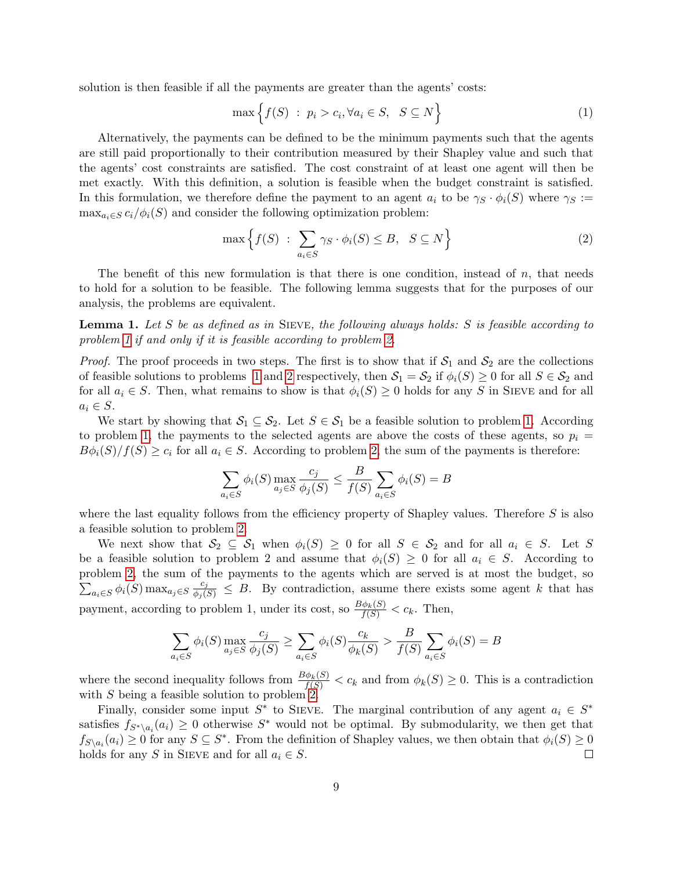solution is then feasible if all the payments are greater than the agents' costs:

<span id="page-8-0"></span>
$$
\max\left\{f(S) : p_i > c_i, \forall a_i \in S, \ S \subseteq N\right\} \tag{1}
$$

Alternatively, the payments can be defined to be the minimum payments such that the agents are still paid proportionally to their contribution measured by their Shapley value and such that the agents' cost constraints are satisfied. The cost constraint of at least one agent will then be met exactly. With this definition, a solution is feasible when the budget constraint is satisfied. In this formulation, we therefore define the payment to an agent  $a_i$  to be  $\gamma_S \cdot \phi_i(S)$  where  $\gamma_S :=$  $\max_{a_i \in S} c_i/\phi_i(S)$  and consider the following optimization problem:

<span id="page-8-1"></span>
$$
\max\left\{f(S) \; : \; \sum_{a_i \in S} \gamma_S \cdot \phi_i(S) \leq B, \; S \subseteq N\right\} \tag{2}
$$

The benefit of this new formulation is that there is one condition, instead of  $n$ , that needs to hold for a solution to be feasible. The following lemma suggests that for the purposes of our analysis, the problems are equivalent.

<span id="page-8-2"></span>**Lemma 1.** Let S be as defined as in SIEVE, the following always holds: S is feasible according to problem [1](#page-8-0) if and only if it is feasible according to problem [2.](#page-8-1)

*Proof.* The proof proceeds in two steps. The first is to show that if  $S_1$  and  $S_2$  are the collections of feasible solutions to problems [1](#page-8-0) and [2](#page-8-1) respectively, then  $S_1 = S_2$  if  $\phi_i(S) \geq 0$  for all  $S \in S_2$  and for all  $a_i \in S$ . Then, what remains to show is that  $\phi_i(S) \geq 0$  holds for any S in SIEVE and for all  $a_i \in S$ .

We start by showing that  $S_1 \subseteq S_2$ . Let  $S \in S_1$  be a feasible solution to problem [1.](#page-8-0) According to problem [1,](#page-8-0) the payments to the selected agents are above the costs of these agents, so  $p_i =$  $B\phi_i(S)/f(S) \geq c_i$  for all  $a_i \in S$ . According to problem [2,](#page-8-1) the sum of the payments is therefore:

$$
\sum_{a_i \in S} \phi_i(S) \max_{a_j \in S} \frac{c_j}{\phi_j(S)} \le \frac{B}{f(S)} \sum_{a_i \in S} \phi_i(S) = B
$$

where the last equality follows from the efficiency property of Shapley values. Therefore  $S$  is also a feasible solution to problem [2.](#page-8-1)

We next show that  $S_2 \subseteq S_1$  when  $\phi_i(S) \geq 0$  for all  $S \in S_2$  and for all  $a_i \in S$ . Let S be a feasible solution to problem 2 and assume that  $\phi_i(S) \geq 0$  for all  $a_i \in S$ . According to problem [2,](#page-8-1) the sum of the payments to the agents which are served is at most the budget, so  $\sum_{a_i \in S} \phi_i(S) \max_{a_j \in S} \frac{c_j}{\phi_j(S)} \leq B$ . By contradiction, assume there exists some agent k that has payment, according to problem 1, under its cost, so  $\frac{B\phi_k(S)}{f(S)} < c_k$ . Then,

$$
\sum_{a_i \in S} \phi_i(S) \max_{a_j \in S} \frac{c_j}{\phi_j(S)} \ge \sum_{a_i \in S} \phi_i(S) \frac{c_k}{\phi_k(S)} > \frac{B}{f(S)} \sum_{a_i \in S} \phi_i(S) = B
$$

where the second inequality follows from  $\frac{B\phi_k(S)}{f(S)} < c_k$  and from  $\phi_k(S) \geq 0$ . This is a contradiction with S being a feasible solution to problem  $2$ .

Finally, consider some input  $S^*$  to SIEVE. The marginal contribution of any agent  $a_i \in S^*$ satisfies  $f_{S^*\setminus a_i}(a_i) \geq 0$  otherwise  $S^*$  would not be optimal. By submodularity, we then get that  $f_{S\setminus a_i}(a_i) \geq 0$  for any  $S \subseteq S^*$ . From the definition of Shapley values, we then obtain that  $\phi_i(S) \geq 0$ holds for any S in SIEVE and for all  $a_i \in S$ .  $\Box$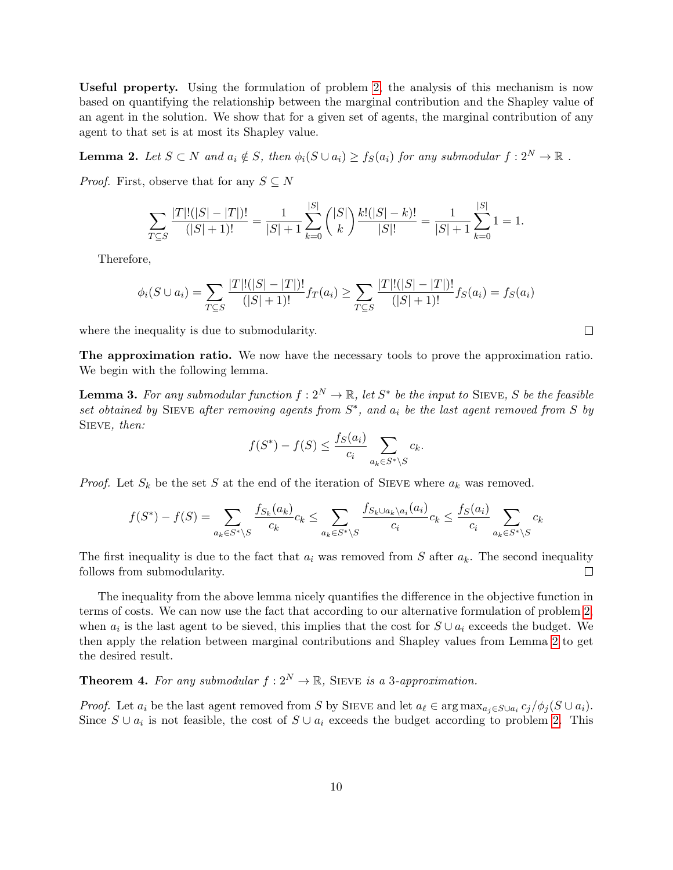Useful property. Using the formulation of problem [2,](#page-8-1) the analysis of this mechanism is now based on quantifying the relationship between the marginal contribution and the Shapley value of an agent in the solution. We show that for a given set of agents, the marginal contribution of any agent to that set is at most its Shapley value.

<span id="page-9-0"></span>**Lemma 2.** Let  $S \subset N$  and  $a_i \notin S$ , then  $\phi_i(S \cup a_i) \geq f_S(a_i)$  for any submodular  $f: 2^N \to \mathbb{R}$ .

*Proof.* First, observe that for any  $S \subseteq N$ 

$$
\sum_{T \subseteq S} \frac{|T|!(|S|-|T|)!}{(|S|+1)!} = \frac{1}{|S|+1} \sum_{k=0}^{|S|} \binom{|S|}{k} \frac{k!(|S|-k)!}{|S|!} = \frac{1}{|S|+1} \sum_{k=0}^{|S|} 1 = 1.
$$

Therefore,

$$
\phi_i(S \cup a_i) = \sum_{T \subseteq S} \frac{|T|!(|S| - |T|)!}{(|S| + 1)!} f_T(a_i) \ge \sum_{T \subseteq S} \frac{|T|!(|S| - |T|)!}{(|S| + 1)!} f_S(a_i) = f_S(a_i)
$$

where the inequality is due to submodularity.

The approximation ratio. We now have the necessary tools to prove the approximation ratio. We begin with the following lemma.

<span id="page-9-1"></span>**Lemma 3.** For any submodular function  $f: 2^N \to \mathbb{R}$ , let  $S^*$  be the input to SIEVE, S be the feasible set obtained by SIEVE after removing agents from  $S^*$ , and  $a_i$  be the last agent removed from S by SIEVE, then:

$$
f(S^*) - f(S) \le \frac{f_S(a_i)}{c_i} \sum_{a_k \in S^* \setminus S} c_k.
$$

*Proof.* Let  $S_k$  be the set S at the end of the iteration of SIEVE where  $a_k$  was removed.

$$
f(S^*) - f(S) = \sum_{a_k \in S^* \setminus S} \frac{f_{S_k}(a_k)}{c_k} c_k \le \sum_{a_k \in S^* \setminus S} \frac{f_{S_k \cup a_k \setminus a_i}(a_i)}{c_i} c_k \le \frac{f_S(a_i)}{c_i} \sum_{a_k \in S^* \setminus S} c_k
$$

The first inequality is due to the fact that  $a_i$  was removed from S after  $a_k$ . The second inequality follows from submodularity. П

The inequality from the above lemma nicely quantifies the difference in the objective function in terms of costs. We can now use the fact that according to our alternative formulation of problem [2,](#page-8-1) when  $a_i$  is the last agent to be sieved, this implies that the cost for  $S \cup a_i$  exceeds the budget. We then apply the relation between marginal contributions and Shapley values from Lemma [2](#page-9-0) to get the desired result.

<span id="page-9-2"></span>**Theorem 4.** For any submodular  $f: 2^N \to \mathbb{R}$ , SIEVE is a 3-approximation.

*Proof.* Let  $a_i$  be the last agent removed from S by SIEVE and let  $a_\ell \in \arg \max_{a_j \in S \cup a_i} c_j/\phi_j(S \cup a_i)$ . Since  $S \cup a_i$  is not feasible, the cost of  $S \cup a_i$  exceeds the budget according to problem [2.](#page-8-1) This

 $\Box$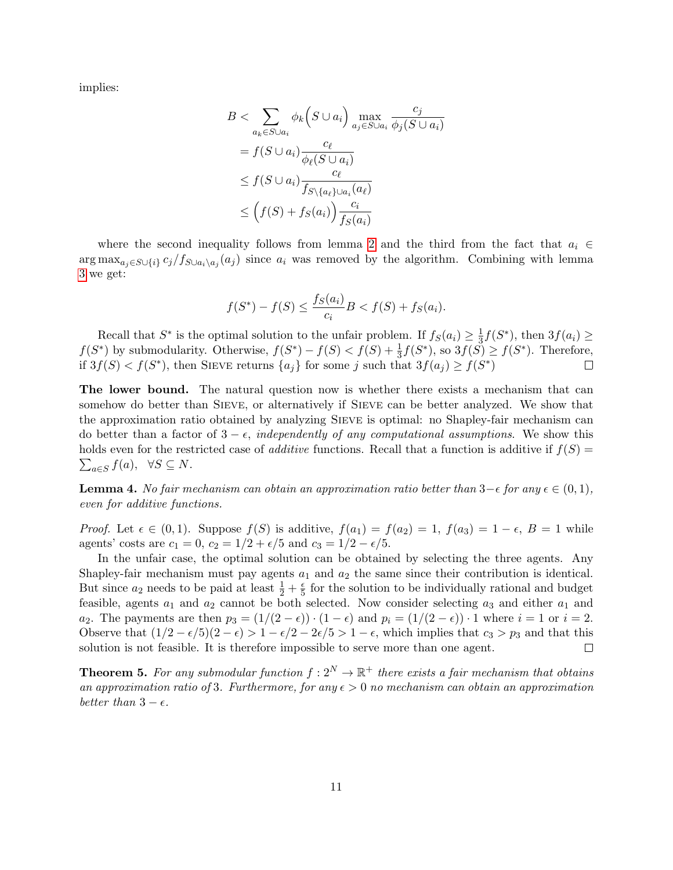implies:

$$
B < \sum_{a_k \in S \cup a_i} \phi_k(S \cup a_i) \max_{a_j \in S \cup a_i} \frac{c_j}{\phi_j(S \cup a_i)}
$$
  
=  $f(S \cup a_i) \frac{c_\ell}{\phi_\ell(S \cup a_i)}$   
 $\leq f(S \cup a_i) \frac{c_\ell}{f_{S \setminus \{a_\ell\} \cup a_i}(a_\ell)}$   
 $\leq (f(S) + f_S(a_i)) \frac{c_i}{f_S(a_i)}$ 

where the second inequality follows from lemma [2](#page-9-0) and the third from the fact that  $a_i \in$ arg max<sub>aj∈S∪{i}</sub>  $c_j/f_{S\cup a_i\setminus a_j}(a_j)$  since  $a_i$  was removed by the algorithm. Combining with lemma [3](#page-9-1) we get:

$$
f(S^*) - f(S) \le \frac{f_S(a_i)}{c_i} B < f(S) + f_S(a_i).
$$

Recall that  $S^*$  is the optimal solution to the unfair problem. If  $f_S(a_i) \geq \frac{1}{3}$  $\frac{1}{3}f(S^*),$  then  $3f(a_i) \geq$  $f(S^*)$  by submodularity. Otherwise,  $f(S^*) - f(S) < f(S) + \frac{1}{3}f(S^*)$ , so  $3f(S) \ge f(S^*)$ . Therefore, if  $3f(S) < f(S^*)$ , then SIEVE returns  $\{a_j\}$  for some j such that  $3f(a_j) \ge f(S^*)$  $\Box$ 

The lower bound. The natural question now is whether there exists a mechanism that can somehow do better than SIEVE, or alternatively if SIEVE can be better analyzed. We show that the approximation ratio obtained by analyzing Sieve is optimal: no Shapley-fair mechanism can do better than a factor of  $3 - \epsilon$ , independently of any computational assumptions. We show this holds even for the restricted case of *additive* functions. Recall that a function is additive if  $f(S)$  =  $\sum_{a \in S} f(a), \forall S \subseteq N.$ 

**Lemma 4.** No fair mechanism can obtain an approximation ratio better than  $3-\epsilon$  for any  $\epsilon \in (0,1)$ , even for additive functions.

*Proof.* Let  $\epsilon \in (0,1)$ . Suppose  $f(S)$  is additive,  $f(a_1) = f(a_2) = 1$ ,  $f(a_3) = 1 - \epsilon$ ,  $B = 1$  while agents' costs are  $c_1 = 0$ ,  $c_2 = 1/2 + \epsilon/5$  and  $c_3 = 1/2 - \epsilon/5$ .

In the unfair case, the optimal solution can be obtained by selecting the three agents. Any Shapley-fair mechanism must pay agents  $a_1$  and  $a_2$  the same since their contribution is identical. But since  $a_2$  needs to be paid at least  $\frac{1}{2} + \frac{e}{5}$  $\frac{e}{5}$  for the solution to be individually rational and budget feasible, agents  $a_1$  and  $a_2$  cannot be both selected. Now consider selecting  $a_3$  and either  $a_1$  and  $a_2$ . The payments are then  $p_3 = (1/(2 - \epsilon)) \cdot (1 - \epsilon)$  and  $p_i = (1/(2 - \epsilon)) \cdot 1$  where  $i = 1$  or  $i = 2$ . Observe that  $(1/2 - \epsilon/5)(2 - \epsilon) > 1 - \epsilon/2 - 2\epsilon/5 > 1 - \epsilon$ , which implies that  $c_3 > p_3$  and that this solution is not feasible. It is therefore impossible to serve more than one agent.  $\Box$ 

**Theorem 5.** For any submodular function  $f: 2^N \to \mathbb{R}^+$  there exists a fair mechanism that obtains an approximation ratio of 3. Furthermore, for any  $\epsilon > 0$  no mechanism can obtain an approximation better than  $3 - \epsilon$ .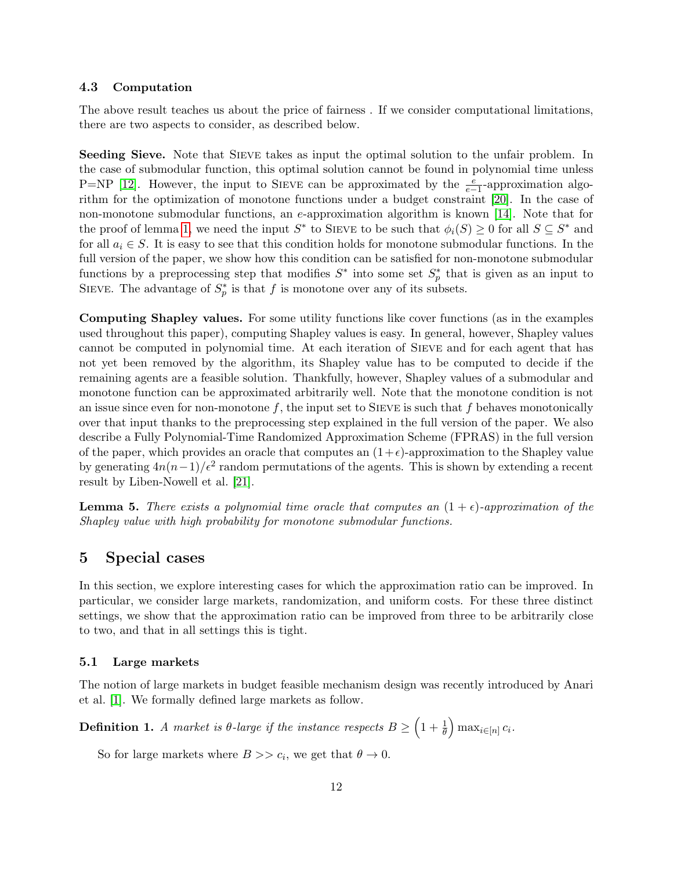### 4.3 Computation

The above result teaches us about the price of fairness . If we consider computational limitations, there are two aspects to consider, as described below.

Seeding Sieve. Note that Sieve takes as input the optimal solution to the unfair problem. In the case of submodular function, this optimal solution cannot be found in polynomial time unless P=NP [\[12\]](#page-18-12). However, the input to SIEVE can be approximated by the  $\frac{e}{e-1}$ -approximation algorithm for the optimization of monotone functions under a budget constraint [\[20\]](#page-19-14). In the case of non-monotone submodular functions, an e-approximation algorithm is known [\[14\]](#page-18-13). Note that for the proof of lemma [1,](#page-8-2) we need the input  $S^*$  to SIEVE to be such that  $\phi_i(S) \geq 0$  for all  $S \subseteq S^*$  and for all  $a_i \in S$ . It is easy to see that this condition holds for monotone submodular functions. In the full version of the paper, we show how this condition can be satisfied for non-monotone submodular functions by a preprocessing step that modifies  $S^*$  into some set  $S_p^*$  that is given as an input to SIEVE. The advantage of  $S_p^*$  is that f is monotone over any of its subsets.

Computing Shapley values. For some utility functions like cover functions (as in the examples used throughout this paper), computing Shapley values is easy. In general, however, Shapley values cannot be computed in polynomial time. At each iteration of Sieve and for each agent that has not yet been removed by the algorithm, its Shapley value has to be computed to decide if the remaining agents are a feasible solution. Thankfully, however, Shapley values of a submodular and monotone function can be approximated arbitrarily well. Note that the monotone condition is not an issue since even for non-monotone f, the input set to SIEVE is such that f behaves monotonically over that input thanks to the preprocessing step explained in the full version of the paper. We also describe a Fully Polynomial-Time Randomized Approximation Scheme (FPRAS) in the full version of the paper, which provides an oracle that computes an  $(1+\epsilon)$ -approximation to the Shapley value by generating  $4n(n-1)/\epsilon^2$  random permutations of the agents. This is shown by extending a recent result by Liben-Nowell et al. [\[21\]](#page-19-8).

<span id="page-11-0"></span>**Lemma 5.** There exists a polynomial time oracle that computes an  $(1 + \epsilon)$ -approximation of the Shapley value with high probability for monotone submodular functions.

### 5 Special cases

In this section, we explore interesting cases for which the approximation ratio can be improved. In particular, we consider large markets, randomization, and uniform costs. For these three distinct settings, we show that the approximation ratio can be improved from three to be arbitrarily close to two, and that in all settings this is tight.

#### 5.1 Large markets

The notion of large markets in budget feasible mechanism design was recently introduced by Anari et al. [\[1\]](#page-17-0). We formally defined large markets as follow.

**Definition 1.** A market is  $\theta$ -large if the instance respects  $B \geq \left(1 + \frac{1}{\theta}\right) \max_{i \in [n]} c_i$ .

So for large markets where  $B \gg c_i$ , we get that  $\theta \to 0$ .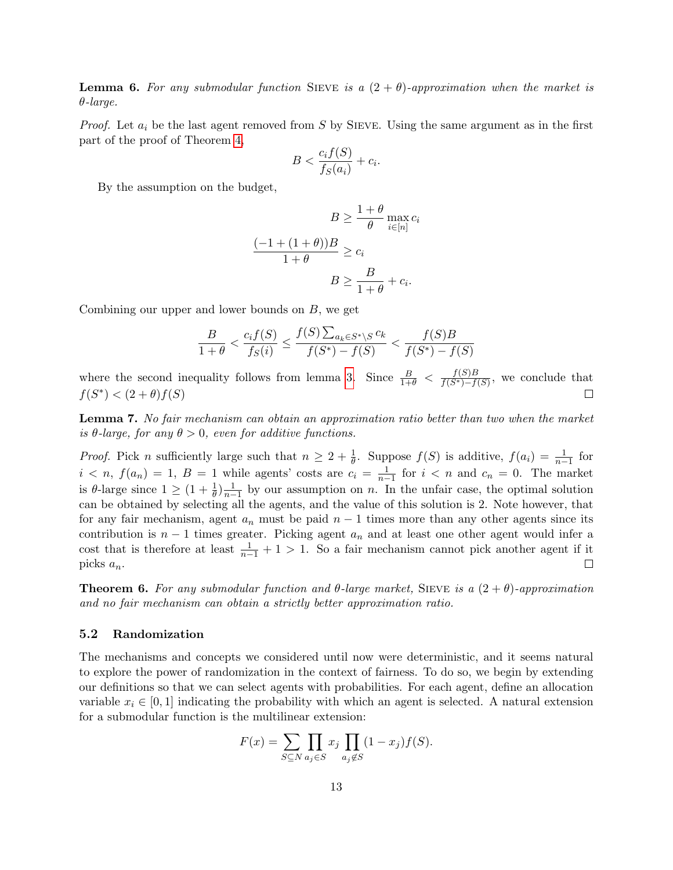**Lemma 6.** For any submodular function SIEVE is a  $(2 + \theta)$ -approximation when the market is θ-large.

*Proof.* Let  $a_i$  be the last agent removed from S by SIEVE. Using the same argument as in the first part of the proof of Theorem [4,](#page-9-2)

$$
B < \frac{c_i f(S)}{f_S(a_i)} + c_i.
$$

By the assumption on the budget,

$$
B \ge \frac{1+\theta}{\theta} \max_{i \in [n]} c_i
$$

$$
\frac{(-1+(1+\theta))B}{1+\theta} \ge c_i
$$

$$
B \ge \frac{B}{1+\theta} + c_i.
$$

Combining our upper and lower bounds on  $B$ , we get

$$
\frac{B}{1+\theta} < \frac{c_i f(S)}{f_S(i)} \le \frac{f(S) \sum_{a_k \in S^* \setminus S} c_k}{f(S^*) - f(S)} < \frac{f(S)B}{f(S^*) - f(S)}
$$

where the second inequality follows from lemma [3.](#page-9-1) Since  $\frac{B}{1+\theta} < \frac{f(S)B}{f(S^*)-f(S^*)}$  $\frac{f(S)B}{f(S^*)-f(S)}$ , we conclude that  $f(S^*) < (2 + \theta) f(S)$  $\Box$ 

Lemma 7. No fair mechanism can obtain an approximation ratio better than two when the market is  $\theta$ -large, for any  $\theta > 0$ , even for additive functions.

*Proof.* Pick n sufficiently large such that  $n \geq 2 + \frac{1}{\theta}$ . Suppose  $f(S)$  is additive,  $f(a_i) = \frac{1}{n-1}$  for  $i < n$ ,  $f(a_n) = 1$ ,  $B = 1$  while agents' costs are  $c_i = \frac{1}{n-1}$  for  $i < n$  and  $c_n = 0$ . The market is  $\theta$ -large since  $1 \geq (1 + \frac{1}{\theta})\frac{1}{n-1}$  by our assumption on n. In the unfair case, the optimal solution can be obtained by selecting all the agents, and the value of this solution is 2. Note however, that for any fair mechanism, agent  $a_n$  must be paid  $n-1$  times more than any other agents since its contribution is  $n-1$  times greater. Picking agent  $a_n$  and at least one other agent would infer a cost that is therefore at least  $\frac{1}{n-1} + 1 > 1$ . So a fair mechanism cannot pick another agent if it picks  $a_n$ .  $\Box$ 

**Theorem 6.** For any submodular function and  $\theta$ -large market, SIEVE is a  $(2 + \theta)$ -approximation and no fair mechanism can obtain a strictly better approximation ratio.

#### 5.2 Randomization

The mechanisms and concepts we considered until now were deterministic, and it seems natural to explore the power of randomization in the context of fairness. To do so, we begin by extending our definitions so that we can select agents with probabilities. For each agent, define an allocation variable  $x_i \in [0, 1]$  indicating the probability with which an agent is selected. A natural extension for a submodular function is the multilinear extension:

$$
F(x) = \sum_{S \subseteq N} \prod_{a_j \in S} x_j \prod_{a_j \notin S} (1 - x_j) f(S).
$$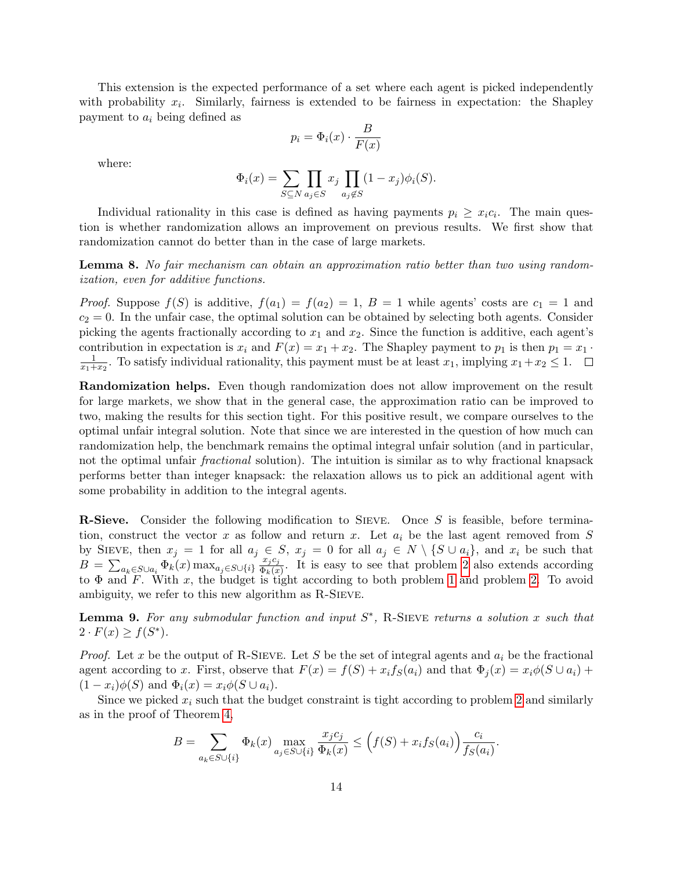This extension is the expected performance of a set where each agent is picked independently with probability  $x_i$ . Similarly, fairness is extended to be fairness in expectation: the Shapley payment to  $a_i$  being defined as

$$
p_i = \Phi_i(x) \cdot \frac{B}{F(x)}
$$

where:

$$
\Phi_i(x) = \sum_{S \subseteq N} \prod_{a_j \in S} x_j \prod_{a_j \notin S} (1 - x_j) \phi_i(S).
$$

Individual rationality in this case is defined as having payments  $p_i \geq x_i c_i$ . The main question is whether randomization allows an improvement on previous results. We first show that randomization cannot do better than in the case of large markets.

Lemma 8. No fair mechanism can obtain an approximation ratio better than two using randomization, even for additive functions.

*Proof.* Suppose  $f(S)$  is additive,  $f(a_1) = f(a_2) = 1$ ,  $B = 1$  while agents' costs are  $c_1 = 1$  and  $c_2 = 0$ . In the unfair case, the optimal solution can be obtained by selecting both agents. Consider picking the agents fractionally according to  $x_1$  and  $x_2$ . Since the function is additive, each agent's contribution in expectation is  $x_i$  and  $F(x) = x_1 + x_2$ . The Shapley payment to  $p_1$  is then  $p_1 = x_1$ . 1  $\frac{1}{x_1+x_2}$ . To satisfy individual rationality, this payment must be at least  $x_1$ , implying  $x_1+x_2 \leq 1$ .

Randomization helps. Even though randomization does not allow improvement on the result for large markets, we show that in the general case, the approximation ratio can be improved to two, making the results for this section tight. For this positive result, we compare ourselves to the optimal unfair integral solution. Note that since we are interested in the question of how much can randomization help, the benchmark remains the optimal integral unfair solution (and in particular, not the optimal unfair *fractional* solution). The intuition is similar as to why fractional knapsack performs better than integer knapsack: the relaxation allows us to pick an additional agent with some probability in addition to the integral agents.

R-Sieve. Consider the following modification to SIEVE. Once S is feasible, before termination, construct the vector x as follow and return x. Let  $a_i$  be the last agent removed from S by SIEVE, then  $x_j = 1$  for all  $a_j \in S$ ,  $x_j = 0$  for all  $a_j \in N \setminus \{S \cup a_i\}$ , and  $x_i$  be such that  $B = \sum_{a_k \in S \cup a_i} \Phi_k(x) \max_{a_j \in S \cup \{i\}} \frac{x_j c_j}{\Phi_k(x)}$  $\frac{x_j c_j}{\Phi_k(x)}$ . It is easy to see that problem [2](#page-8-1) also extends according to  $\Phi$  and F. With x, the budget is tight according to both problem [1](#page-8-0) and problem [2.](#page-8-1) To avoid ambiguity, we refer to this new algorithm as R-Sieve.

**Lemma 9.** For any submodular function and input  $S^*$ , R-SIEVE returns a solution x such that  $2 \cdot F(x) \geq f(S^*).$ 

*Proof.* Let x be the output of R-SIEVE. Let S be the set of integral agents and  $a_i$  be the fractional agent according to x. First, observe that  $F(x) = f(S) + x_i f_S(a_i)$  and that  $\Phi_i(x) = x_i \phi(S \cup a_i) +$  $(1-x_i)\phi(S)$  and  $\Phi_i(x) = x_i\phi(S \cup a_i)$ .

Since we picked  $x_i$  such that the budget constraint is tight according to problem [2](#page-8-1) and similarly as in the proof of Theorem [4,](#page-9-2)

$$
B = \sum_{a_k \in S \cup \{i\}} \Phi_k(x) \max_{a_j \in S \cup \{i\}} \frac{x_j c_j}{\Phi_k(x)} \le \left(f(S) + x_i f_S(a_i)\right) \frac{c_i}{f_S(a_i)}.
$$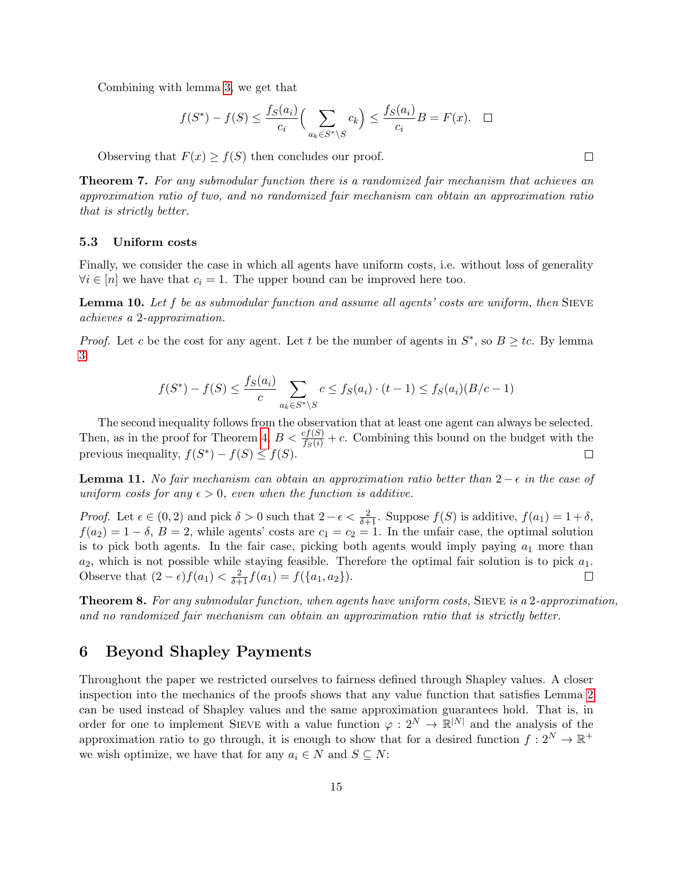Combining with lemma [3,](#page-9-1) we get that

$$
f(S^*) - f(S) \le \frac{f_S(a_i)}{c_i} \Big( \sum_{a_k \in S^* \setminus S} c_k \Big) \le \frac{f_S(a_i)}{c_i} B = F(x). \quad \Box
$$

Observing that  $F(x) \ge f(S)$  then concludes our proof.

Theorem 7. For any submodular function there is a randomized fair mechanism that achieves an approximation ratio of two, and no randomized fair mechanism can obtain an approximation ratio that is strictly better.

#### 5.3 Uniform costs

Finally, we consider the case in which all agents have uniform costs, i.e. without loss of generality  $\forall i \in [n]$  we have that  $c_i = 1$ . The upper bound can be improved here too.

**Lemma 10.** Let f be as submodular function and assume all agents' costs are uniform, then SIEVE achieves a 2-approximation.

*Proof.* Let c be the cost for any agent. Let t be the number of agents in  $S^*$ , so  $B \geq tc$ . By lemma [3:](#page-9-1)

$$
f(S^*) - f(S) \le \frac{f_S(a_i)}{c} \sum_{a_k \in S^* \setminus S} c \le f_S(a_i) \cdot (t - 1) \le f_S(a_i)(B/c - 1)
$$

The second inequality follows from the observation that at least one agent can always be selected. Then, as in the proof for Theorem [4,](#page-9-2)  $B < \frac{cf(S)}{fs(i)} + c$ . Combining this bound on the budget with the previous inequality,  $f(S^*) - f(S) \leq f(S)$ .  $\Box$ 

**Lemma 11.** No fair mechanism can obtain an approximation ratio better than  $2 - \epsilon$  in the case of uniform costs for any  $\epsilon > 0$ , even when the function is additive.

*Proof.* Let  $\epsilon \in (0, 2)$  and pick  $\delta > 0$  such that  $2 - \epsilon < \frac{2}{\delta + 1}$ . Suppose  $f(S)$  is additive,  $f(a_1) = 1 + \delta$ ,  $f(a_2) = 1 - \delta$ ,  $B = 2$ , while agents' costs are  $c_1 = c_2 = 1$ . In the unfair case, the optimal solution is to pick both agents. In the fair case, picking both agents would imply paying  $a_1$  more than  $a_2$ , which is not possible while staying feasible. Therefore the optimal fair solution is to pick  $a_1$ . Observe that  $(2 - \epsilon) f(a_1) < \frac{2}{\delta + 1} f(a_1) = f(\{a_1, a_2\}).$  $\Box$ 

Theorem 8. For any submodular function, when agents have uniform costs, SIEVE is a 2-approximation, and no randomized fair mechanism can obtain an approximation ratio that is strictly better.

### <span id="page-14-0"></span>6 Beyond Shapley Payments

Throughout the paper we restricted ourselves to fairness defined through Shapley values. A closer inspection into the mechanics of the proofs shows that any value function that satisfies Lemma [2](#page-9-0) can be used instead of Shapley values and the same approximation guarantees hold. That is, in order for one to implement SIEVE with a value function  $\varphi: 2^N \to \mathbb{R}^{|N|}$  and the analysis of the approximation ratio to go through, it is enough to show that for a desired function  $f: 2^N \to \mathbb{R}^+$ we wish optimize, we have that for any  $a_i \in N$  and  $S \subseteq N$ :

 $\Box$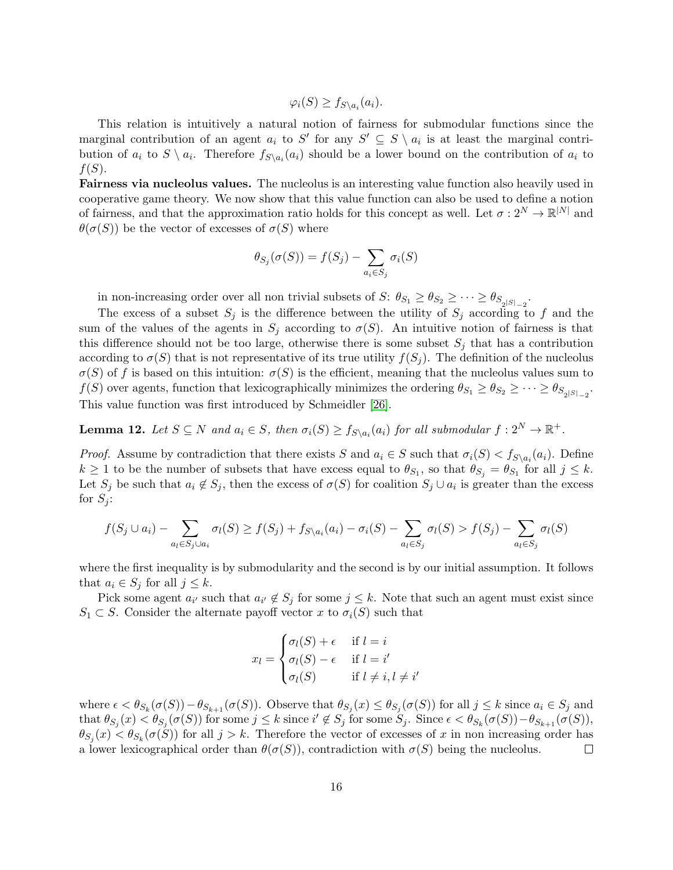$\varphi_i(S) \geq f_{S \setminus a_i}(a_i).$ 

This relation is intuitively a natural notion of fairness for submodular functions since the marginal contribution of an agent  $a_i$  to S' for any  $S' \subseteq S \setminus a_i$  is at least the marginal contribution of  $a_i$  to  $S \setminus a_i$ . Therefore  $f_{S \setminus a_i}(a_i)$  should be a lower bound on the contribution of  $a_i$  to  $f(S)$ .

Fairness via nucleolus values. The nucleolus is an interesting value function also heavily used in cooperative game theory. We now show that this value function can also be used to define a notion of fairness, and that the approximation ratio holds for this concept as well. Let  $\sigma: 2^N \to \mathbb{R}^{|N|}$  and  $\theta(\sigma(S))$  be the vector of excesses of  $\sigma(S)$  where

$$
\theta_{S_j}(\sigma(S)) = f(S_j) - \sum_{a_i \in S_j} \sigma_i(S)
$$

in non-increasing order over all non trivial subsets of  $S: \theta_{S_1} \ge \theta_{S_2} \ge \cdots \ge \theta_{S_{2}|S|_{-2}}$ .

The excess of a subset  $S_i$  is the difference between the utility of  $S_i$  according to f and the sum of the values of the agents in  $S_j$  according to  $\sigma(S)$ . An intuitive notion of fairness is that this difference should not be too large, otherwise there is some subset  $S_j$  that has a contribution according to  $\sigma(S)$  that is not representative of its true utility  $f(S_i)$ . The definition of the nucleolus  $\sigma(S)$  of f is based on this intuition:  $\sigma(S)$  is the efficient, meaning that the nucleolus values sum to  $f(S)$  over agents, function that lexicographically minimizes the ordering  $\theta_{S_1} \ge \theta_{S_2} \ge \cdots \ge \theta_{S_{2}|S|_{-2}}$ . This value function was first introduced by Schmeidler [\[26\]](#page-19-15).

**Lemma 12.** Let  $S \subseteq N$  and  $a_i \in S$ , then  $\sigma_i(S) \geq f_{S \setminus a_i}(a_i)$  for all submodular  $f: 2^N \to \mathbb{R}^+$ .

*Proof.* Assume by contradiction that there exists S and  $a_i \in S$  such that  $\sigma_i(S) < f_{S \setminus a_i}(a_i)$ . Define  $k \geq 1$  to be the number of subsets that have excess equal to  $\theta_{S_1}$ , so that  $\theta_{S_j} = \theta_{S_1}$  for all  $j \leq k$ . Let  $S_j$  be such that  $a_i \notin S_j$ , then the excess of  $\sigma(S)$  for coalition  $S_j \cup a_i$  is greater than the excess for  $S_i$ :

$$
f(S_j \cup a_i) - \sum_{a_l \in S_j \cup a_i} \sigma_l(S) \ge f(S_j) + f_{S \setminus a_i}(a_i) - \sigma_i(S) - \sum_{a_l \in S_j} \sigma_l(S) > f(S_j) - \sum_{a_l \in S_j} \sigma_l(S)
$$

where the first inequality is by submodularity and the second is by our initial assumption. It follows that  $a_i \in S_j$  for all  $j \leq k$ .

Pick some agent  $a_{i'}$  such that  $a_{i'} \notin S_j$  for some  $j \leq k$ . Note that such an agent must exist since  $S_1 \subset S$ . Consider the alternate payoff vector x to  $\sigma_i(S)$  such that

$$
x_l = \begin{cases} \sigma_l(S) + \epsilon & \text{if } l = i \\ \sigma_l(S) - \epsilon & \text{if } l = i' \\ \sigma_l(S) & \text{if } l \neq i, l \neq i' \end{cases}
$$

where  $\epsilon < \theta_{S_k}(\sigma(S)) - \theta_{S_{k+1}}(\sigma(S))$ . Observe that  $\theta_{S_j}(x) \leq \theta_{S_j}(\sigma(S))$  for all  $j \leq k$  since  $a_i \in S_j$  and that  $\theta_{S_j}(x) < \theta_{S_j}(\sigma(S))$  for some  $j \leq k$  since  $i' \notin S_j$  for some  $S_j$ . Since  $\epsilon < \theta_{S_k}(\sigma(S)) - \theta_{S_{k+1}}(\sigma(S)),$  $\theta_{S_j}(x) < \theta_{S_k}(\sigma(S))$  for all  $j > k$ . Therefore the vector of excesses of x in non increasing order has a lower lexicographical order than  $\theta(\sigma(S))$ , contradiction with  $\sigma(S)$  being the nucleolus.  $\Box$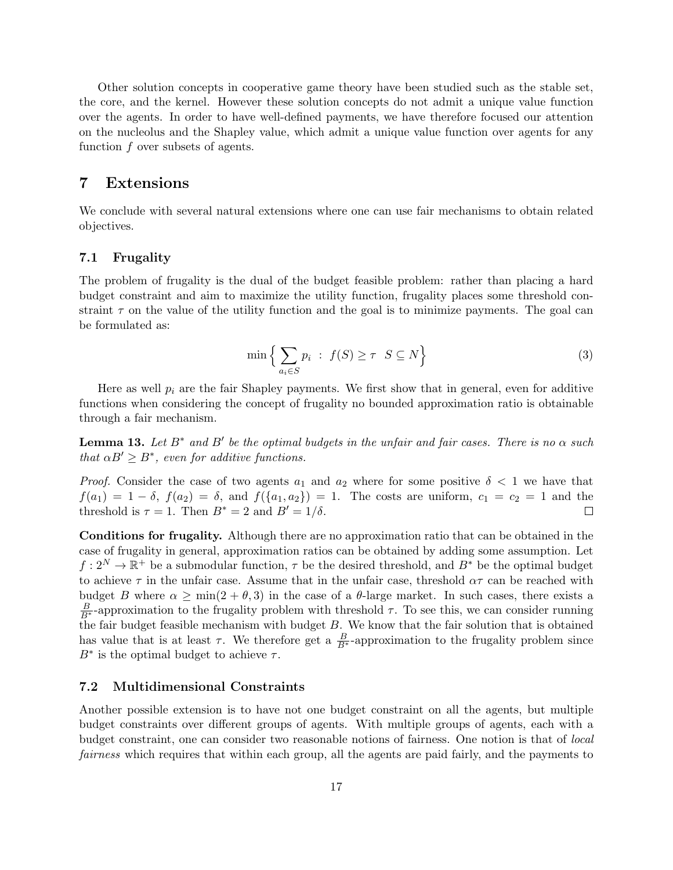Other solution concepts in cooperative game theory have been studied such as the stable set, the core, and the kernel. However these solution concepts do not admit a unique value function over the agents. In order to have well-defined payments, we have therefore focused our attention on the nucleolus and the Shapley value, which admit a unique value function over agents for any function  $f$  over subsets of agents.

### <span id="page-16-0"></span>7 Extensions

We conclude with several natural extensions where one can use fair mechanisms to obtain related objectives.

### 7.1 Frugality

The problem of frugality is the dual of the budget feasible problem: rather than placing a hard budget constraint and aim to maximize the utility function, frugality places some threshold constraint  $\tau$  on the value of the utility function and the goal is to minimize payments. The goal can be formulated as:

$$
\min\left\{\sum_{a_i \in S} p_i \ : \ f(S) \ge \tau \ S \subseteq N\right\} \tag{3}
$$

Here as well  $p_i$  are the fair Shapley payments. We first show that in general, even for additive functions when considering the concept of frugality no bounded approximation ratio is obtainable through a fair mechanism.

**Lemma 13.** Let  $B^*$  and  $B'$  be the optimal budgets in the unfair and fair cases. There is no  $\alpha$  such that  $\alpha B' \geq B^*$ , even for additive functions.

*Proof.* Consider the case of two agents  $a_1$  and  $a_2$  where for some positive  $\delta < 1$  we have that  $f(a_1) = 1 - \delta$ ,  $f(a_2) = \delta$ , and  $f(\{a_1, a_2\}) = 1$ . The costs are uniform,  $c_1 = c_2 = 1$  and the threshold is  $\tau = 1$ . Then  $B^* = 2$  and  $B' = 1/\delta$ .  $\Box$ 

Conditions for frugality. Although there are no approximation ratio that can be obtained in the case of frugality in general, approximation ratios can be obtained by adding some assumption. Let  $f: 2^N \to \mathbb{R}^+$  be a submodular function,  $\tau$  be the desired threshold, and  $B^*$  be the optimal budget to achieve  $\tau$  in the unfair case. Assume that in the unfair case, threshold  $\alpha\tau$  can be reached with budget B where  $\alpha \ge \min(2 + \theta, 3)$  in the case of a  $\theta$ -large market. In such cases, there exists a  $\frac{B}{B^*}$ -approximation to the frugality problem with threshold  $\tau$ . To see this, we can consider running the fair budget feasible mechanism with budget  $B$ . We know that the fair solution that is obtained has value that is at least  $\tau$ . We therefore get a  $\frac{B}{B^*}$ -approximation to the frugality problem since  $B^*$  is the optimal budget to achieve  $\tau$ .

#### 7.2 Multidimensional Constraints

Another possible extension is to have not one budget constraint on all the agents, but multiple budget constraints over different groups of agents. With multiple groups of agents, each with a budget constraint, one can consider two reasonable notions of fairness. One notion is that of *local* fairness which requires that within each group, all the agents are paid fairly, and the payments to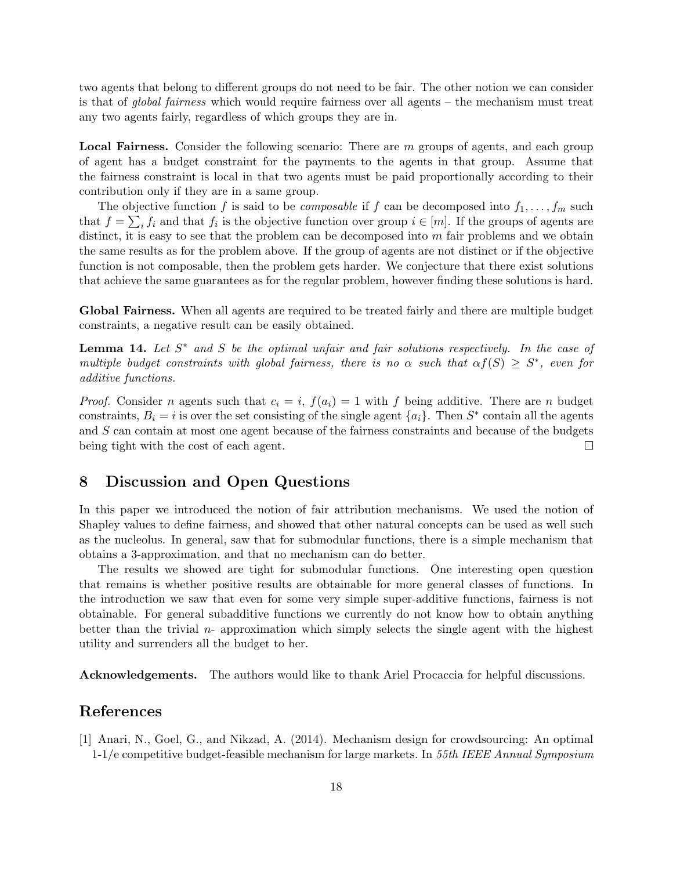two agents that belong to different groups do not need to be fair. The other notion we can consider is that of global fairness which would require fairness over all agents – the mechanism must treat any two agents fairly, regardless of which groups they are in.

Local Fairness. Consider the following scenario: There are m groups of agents, and each group of agent has a budget constraint for the payments to the agents in that group. Assume that the fairness constraint is local in that two agents must be paid proportionally according to their contribution only if they are in a same group.

The objective function f is said to be *composable* if f can be decomposed into  $f_1, \ldots, f_m$  such that  $f = \sum_i f_i$  and that  $f_i$  is the objective function over group  $i \in [m]$ . If the groups of agents are distinct, it is easy to see that the problem can be decomposed into  $m$  fair problems and we obtain the same results as for the problem above. If the group of agents are not distinct or if the objective function is not composable, then the problem gets harder. We conjecture that there exist solutions that achieve the same guarantees as for the regular problem, however finding these solutions is hard.

Global Fairness. When all agents are required to be treated fairly and there are multiple budget constraints, a negative result can be easily obtained.

**Lemma 14.** Let  $S^*$  and  $S$  be the optimal unfair and fair solutions respectively. In the case of multiple budget constraints with global fairness, there is no  $\alpha$  such that  $\alpha f(S) \geq S^*$ , even for additive functions.

*Proof.* Consider n agents such that  $c_i = i$ ,  $f(a_i) = 1$  with f being additive. There are n budget constraints,  $B_i = i$  is over the set consisting of the single agent  $\{a_i\}$ . Then  $S^*$  contain all the agents and S can contain at most one agent because of the fairness constraints and because of the budgets being tight with the cost of each agent.  $\Box$ 

### 8 Discussion and Open Questions

In this paper we introduced the notion of fair attribution mechanisms. We used the notion of Shapley values to define fairness, and showed that other natural concepts can be used as well such as the nucleolus. In general, saw that for submodular functions, there is a simple mechanism that obtains a 3-approximation, and that no mechanism can do better.

The results we showed are tight for submodular functions. One interesting open question that remains is whether positive results are obtainable for more general classes of functions. In the introduction we saw that even for some very simple super-additive functions, fairness is not obtainable. For general subadditive functions we currently do not know how to obtain anything better than the trivial  $n$ - approximation which simply selects the single agent with the highest utility and surrenders all the budget to her.

Acknowledgements. The authors would like to thank Ariel Procaccia for helpful discussions.

### References

<span id="page-17-0"></span>[1] Anari, N., Goel, G., and Nikzad, A. (2014). Mechanism design for crowdsourcing: An optimal 1-1/e competitive budget-feasible mechanism for large markets. In 55th IEEE Annual Symposium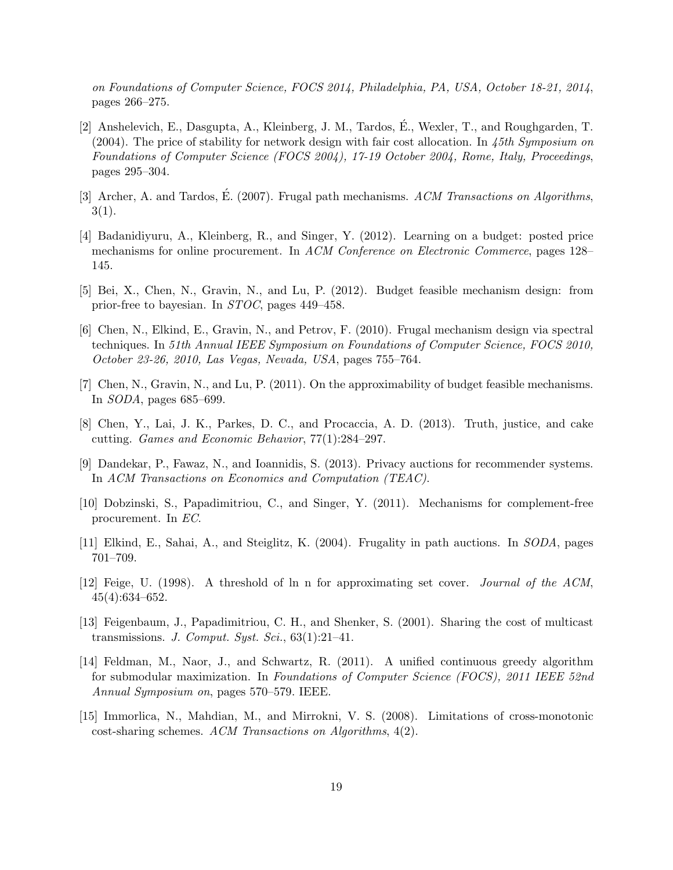on Foundations of Computer Science, FOCS 2014, Philadelphia, PA, USA, October 18-21, 2014, pages 266–275.

- <span id="page-18-9"></span>[2] Anshelevich, E., Dasgupta, A., Kleinberg, J. M., Tardos, E., Wexler, T., and Roughgarden, T. ´  $(2004)$ . The price of stability for network design with fair cost allocation. In 45th Symposium on Foundations of Computer Science (FOCS 2004), 17-19 October 2004, Rome, Italy, Proceedings, pages 295–304.
- <span id="page-18-5"></span>[3] Archer, A. and Tardos, E. (2007). Frugal path mechanisms.  $ACM$  Transactions on Algorithms.  $3(1).$
- <span id="page-18-3"></span>[4] Badanidiyuru, A., Kleinberg, R., and Singer, Y. (2012). Learning on a budget: posted price mechanisms for online procurement. In ACM Conference on Electronic Commerce, pages 128– 145.
- <span id="page-18-4"></span>[5] Bei, X., Chen, N., Gravin, N., and Lu, P. (2012). Budget feasible mechanism design: from prior-free to bayesian. In STOC, pages 449–458.
- <span id="page-18-0"></span>[6] Chen, N., Elkind, E., Gravin, N., and Petrov, F. (2010). Frugal mechanism design via spectral techniques. In 51th Annual IEEE Symposium on Foundations of Computer Science, FOCS 2010, October 23-26, 2010, Las Vegas, Nevada, USA, pages 755–764.
- <span id="page-18-1"></span>[7] Chen, N., Gravin, N., and Lu, P. (2011). On the approximability of budget feasible mechanisms. In SODA, pages 685–699.
- <span id="page-18-11"></span>[8] Chen, Y., Lai, J. K., Parkes, D. C., and Procaccia, A. D. (2013). Truth, justice, and cake cutting. Games and Economic Behavior, 77(1):284–297.
- <span id="page-18-7"></span>[9] Dandekar, P., Fawaz, N., and Ioannidis, S. (2013). Privacy auctions for recommender systems. In ACM Transactions on Economics and Computation (TEAC).
- <span id="page-18-2"></span>[10] Dobzinski, S., Papadimitriou, C., and Singer, Y. (2011). Mechanisms for complement-free procurement. In EC.
- <span id="page-18-6"></span>[11] Elkind, E., Sahai, A., and Steiglitz, K. (2004). Frugality in path auctions. In SODA, pages 701–709.
- <span id="page-18-12"></span>[12] Feige, U. (1998). A threshold of ln n for approximating set cover. Journal of the ACM, 45(4):634–652.
- <span id="page-18-8"></span>[13] Feigenbaum, J., Papadimitriou, C. H., and Shenker, S. (2001). Sharing the cost of multicast transmissions. J. Comput. Syst. Sci.,  $63(1):21-41$ .
- <span id="page-18-13"></span>[14] Feldman, M., Naor, J., and Schwartz, R. (2011). A unified continuous greedy algorithm for submodular maximization. In Foundations of Computer Science (FOCS), 2011 IEEE 52nd Annual Symposium on, pages 570–579. IEEE.
- <span id="page-18-10"></span>[15] Immorlica, N., Mahdian, M., and Mirrokni, V. S. (2008). Limitations of cross-monotonic cost-sharing schemes. ACM Transactions on Algorithms, 4(2).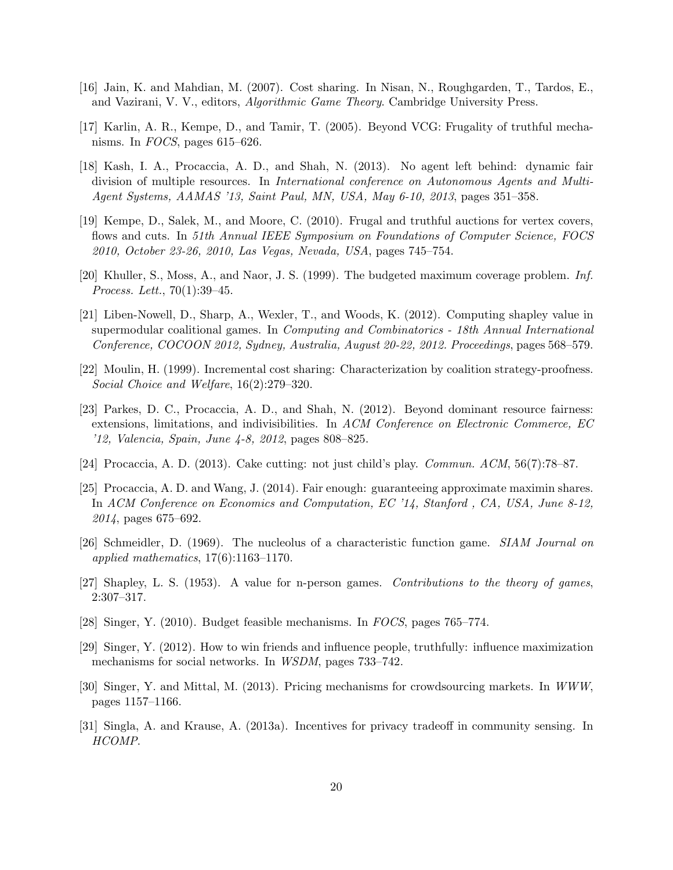- <span id="page-19-9"></span>[16] Jain, K. and Mahdian, M. (2007). Cost sharing. In Nisan, N., Roughgarden, T., Tardos, E., and Vazirani, V. V., editors, Algorithmic Game Theory. Cambridge University Press.
- <span id="page-19-3"></span>[17] Karlin, A. R., Kempe, D., and Tamir, T. (2005). Beyond VCG: Frugality of truthful mechanisms. In FOCS, pages 615–626.
- <span id="page-19-11"></span>[18] Kash, I. A., Procaccia, A. D., and Shah, N. (2013). No agent left behind: dynamic fair division of multiple resources. In International conference on Autonomous Agents and Multi-Agent Systems, AAMAS '13, Saint Paul, MN, USA, May 6-10, 2013, pages 351–358.
- <span id="page-19-1"></span>[19] Kempe, D., Salek, M., and Moore, C. (2010). Frugal and truthful auctions for vertex covers, flows and cuts. In 51th Annual IEEE Symposium on Foundations of Computer Science, FOCS 2010, October 23-26, 2010, Las Vegas, Nevada, USA, pages 745–754.
- <span id="page-19-14"></span>[20] Khuller, S., Moss, A., and Naor, J. S. (1999). The budgeted maximum coverage problem. Inf. Process. Lett., 70(1):39–45.
- <span id="page-19-8"></span>[21] Liben-Nowell, D., Sharp, A., Wexler, T., and Woods, K. (2012). Computing shapley value in supermodular coalitional games. In Computing and Combinatorics - 18th Annual International Conference, COCOON 2012, Sydney, Australia, August 20-22, 2012. Proceedings, pages 568–579.
- <span id="page-19-7"></span>[22] Moulin, H. (1999). Incremental cost sharing: Characterization by coalition strategy-proofness. Social Choice and Welfare, 16(2):279–320.
- <span id="page-19-10"></span>[23] Parkes, D. C., Procaccia, A. D., and Shah, N. (2012). Beyond dominant resource fairness: extensions, limitations, and indivisibilities. In ACM Conference on Electronic Commerce, EC '12, Valencia, Spain, June 4-8, 2012, pages 808–825.
- <span id="page-19-13"></span>[24] Procaccia, A. D. (2013). Cake cutting: not just child's play. Commun. ACM, 56(7):78–87.
- <span id="page-19-12"></span>[25] Procaccia, A. D. and Wang, J. (2014). Fair enough: guaranteeing approximate maximin shares. In ACM Conference on Economics and Computation, EC '14, Stanford , CA, USA, June 8-12, 2014, pages 675–692.
- <span id="page-19-15"></span>[26] Schmeidler, D. (1969). The nucleolus of a characteristic function game. SIAM Journal on applied mathematics,  $17(6)$ :1163-1170.
- <span id="page-19-2"></span>[27] Shapley, L. S. (1953). A value for n-person games. Contributions to the theory of games, 2:307–317.
- <span id="page-19-0"></span>[28] Singer, Y. (2010). Budget feasible mechanisms. In FOCS, pages 765–774.
- <span id="page-19-4"></span>[29] Singer, Y. (2012). How to win friends and influence people, truthfully: influence maximization mechanisms for social networks. In WSDM, pages 733–742.
- <span id="page-19-5"></span>[30] Singer, Y. and Mittal, M. (2013). Pricing mechanisms for crowdsourcing markets. In WWW, pages 1157–1166.
- <span id="page-19-6"></span>[31] Singla, A. and Krause, A. (2013a). Incentives for privacy tradeoff in community sensing. In HCOMP.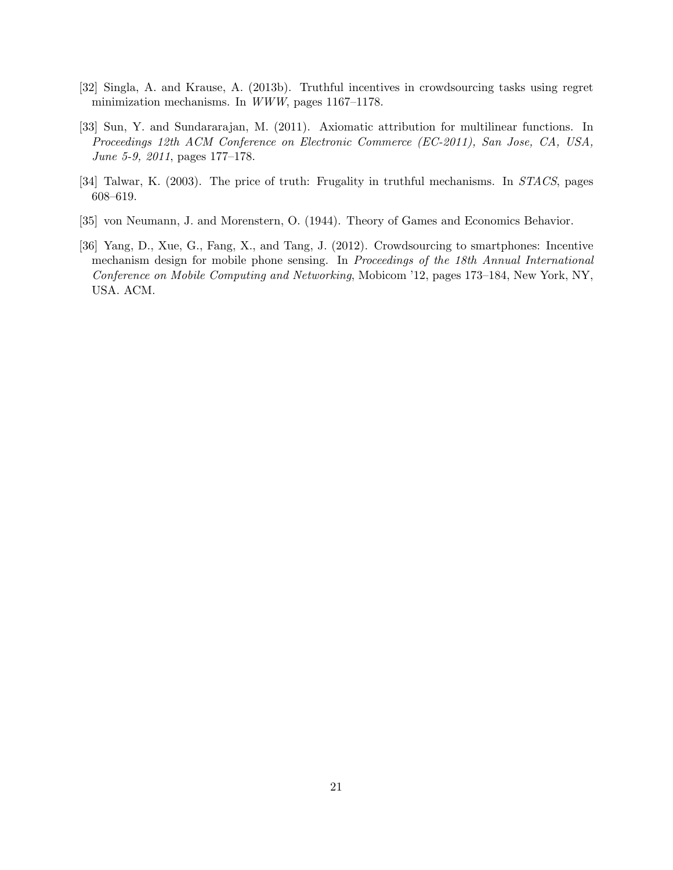- <span id="page-20-3"></span>[32] Singla, A. and Krause, A. (2013b). Truthful incentives in crowdsourcing tasks using regret minimization mechanisms. In WWW, pages 1167–1178.
- <span id="page-20-0"></span>[33] Sun, Y. and Sundararajan, M. (2011). Axiomatic attribution for multilinear functions. In Proceedings 12th ACM Conference on Electronic Commerce (EC-2011), San Jose, CA, USA, June 5-9, 2011, pages 177–178.
- <span id="page-20-1"></span>[34] Talwar, K. (2003). The price of truth: Frugality in truthful mechanisms. In *STACS*, pages 608–619.
- <span id="page-20-4"></span>[35] von Neumann, J. and Morenstern, O. (1944). Theory of Games and Economics Behavior.
- <span id="page-20-2"></span>[36] Yang, D., Xue, G., Fang, X., and Tang, J. (2012). Crowdsourcing to smartphones: Incentive mechanism design for mobile phone sensing. In Proceedings of the 18th Annual International Conference on Mobile Computing and Networking, Mobicom '12, pages 173–184, New York, NY, USA. ACM.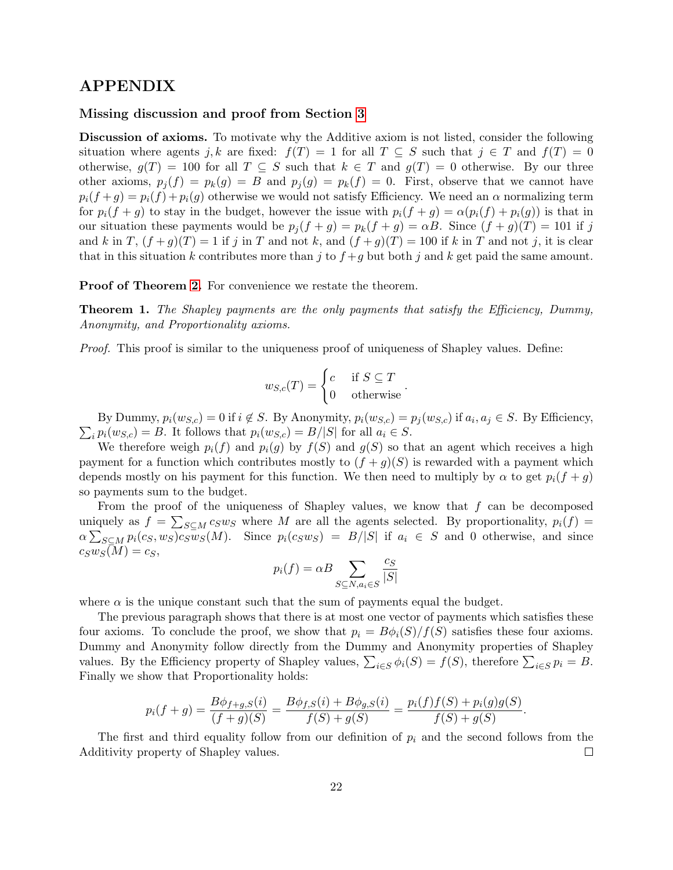### APPENDIX

### Missing discussion and proof from Section [3](#page-5-0)

Discussion of axioms. To motivate why the Additive axiom is not listed, consider the following situation where agents j, k are fixed:  $f(T) = 1$  for all  $T \subseteq S$  such that  $j \in T$  and  $f(T) = 0$ otherwise,  $g(T) = 100$  for all  $T \subseteq S$  such that  $k \in T$  and  $g(T) = 0$  otherwise. By our three other axioms,  $p_i(f) = p_k(g) = B$  and  $p_i(g) = p_k(f) = 0$ . First, observe that we cannot have  $p_i(f+g) = p_i(f) + p_i(g)$  otherwise we would not satisfy Efficiency. We need an  $\alpha$  normalizing term for  $p_i(f + g)$  to stay in the budget, however the issue with  $p_i(f + g) = \alpha(p_i(f) + p_i(g))$  is that in our situation these payments would be  $p_j(f + g) = p_k(f + g) = \alpha B$ . Since  $(f + g)(T) = 101$  if j and k in T,  $(f+g)(T) = 1$  if j in T and not k, and  $(f+g)(T) = 100$  if k in T and not j, it is clear that in this situation k contributes more than j to  $f+g$  but both j and k get paid the same amount.

Proof of Theorem [2.](#page-5-1) For convenience we restate the theorem.

Theorem 1. The Shapley payments are the only payments that satisfy the Efficiency, Dummy, Anonymity, and Proportionality axioms.

Proof. This proof is similar to the uniqueness proof of uniqueness of Shapley values. Define:

$$
w_{S,c}(T) = \begin{cases} c & \text{if } S \subseteq T \\ 0 & \text{otherwise} \end{cases}.
$$

By Dummy,  $p_i(w_{S,c}) = 0$  if  $i \notin S$ . By Anonymity,  $p_i(w_{S,c}) = p_j(w_{S,c})$  if  $a_i, a_j \in S$ . By Efficiency,  $\sum_i p_i(w_{S,c}) = B$ . It follows that  $p_i(w_{S,c}) = B/|S|$  for all  $a_i \in S$ .

We therefore weigh  $p_i(f)$  and  $p_i(g)$  by  $f(S)$  and  $g(S)$  so that an agent which receives a high payment for a function which contributes mostly to  $(f + g)(S)$  is rewarded with a payment which depends mostly on his payment for this function. We then need to multiply by  $\alpha$  to get  $p_i(f + g)$ so payments sum to the budget.

From the proof of the uniqueness of Shapley values, we know that  $f$  can be decomposed uniquely as  $f = \sum_{S \subseteq M} c_S w_S$  where M are all the agents selected. By proportionality,  $p_i(f) =$  $\alpha \sum_{S \subseteq M} p_i(c_S, w_S) c_S \overline{w}_S(M)$ . Since  $p_i(c_S w_S) = |B| |S|$  if  $a_i \in S$  and 0 otherwise, and since  $c_Sw_S(M) = c_S,$ 

$$
p_i(f) = \alpha B \sum_{S \subseteq N, a_i \in S} \frac{c_S}{|S|}
$$

where  $\alpha$  is the unique constant such that the sum of payments equal the budget.

The previous paragraph shows that there is at most one vector of payments which satisfies these four axioms. To conclude the proof, we show that  $p_i = B\phi_i(S)/f(S)$  satisfies these four axioms. Dummy and Anonymity follow directly from the Dummy and Anonymity properties of Shapley values. By the Efficiency property of Shapley values,  $\sum_{i \in S} \phi_i(S) = f(S)$ , therefore  $\sum_{i \in S} p_i = B$ . Finally we show that Proportionality holds:

$$
p_i(f+g) = \frac{B\phi_{f+g,S}(i)}{(f+g)(S)} = \frac{B\phi_{f,S}(i) + B\phi_{g,S}(i)}{f(S) + g(S)} = \frac{p_i(f)f(S) + p_i(g)g(S)}{f(S) + g(S)}.
$$

The first and third equality follow from our definition of  $p_i$  and the second follows from the Additivity property of Shapley values.  $\Box$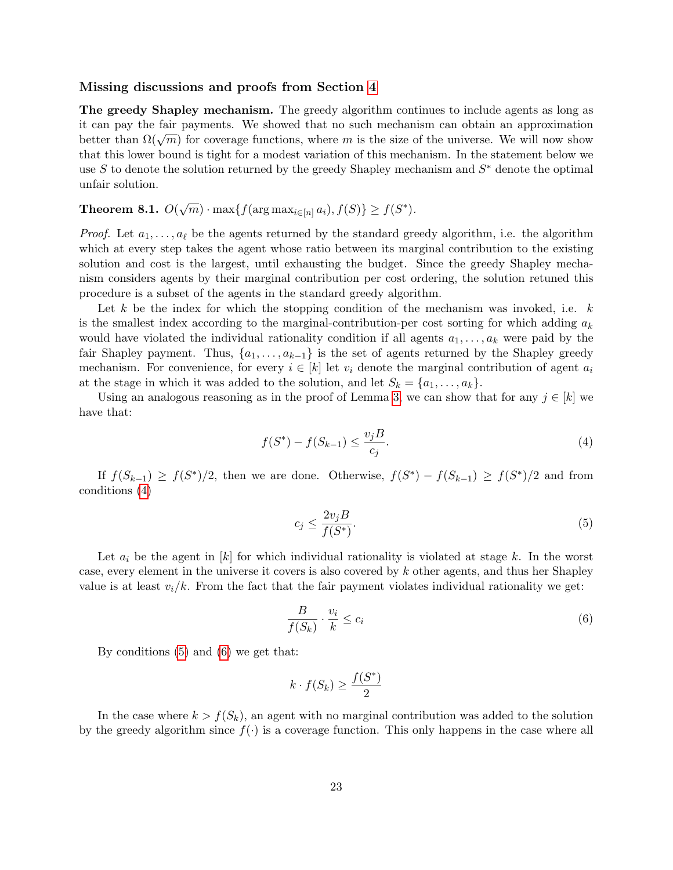#### Missing discussions and proofs from Section [4](#page-6-0)

The greedy Shapley mechanism. The greedy algorithm continues to include agents as long as it can pay the fair payments. We showed that no such mechanism can obtain an approximation better than  $\Omega(\sqrt{m})$  for coverage functions, where m is the size of the universe. We will now show that this lower bound is tight for a modest variation of this mechanism. In the statement below we use S to denote the solution returned by the greedy Shapley mechanism and  $S^*$  denote the optimal unfair solution.

## **Theorem 8.1.**  $O(\sqrt{m}) \cdot \max\{f(\arg \max_{i \in [n]} a_i), f(S)\} \ge f(S^*)$ .

*Proof.* Let  $a_1, \ldots, a_\ell$  be the agents returned by the standard greedy algorithm, i.e. the algorithm which at every step takes the agent whose ratio between its marginal contribution to the existing solution and cost is the largest, until exhausting the budget. Since the greedy Shapley mechanism considers agents by their marginal contribution per cost ordering, the solution retuned this procedure is a subset of the agents in the standard greedy algorithm.

Let k be the index for which the stopping condition of the mechanism was invoked, i.e.  $k$ is the smallest index according to the marginal-contribution-per cost sorting for which adding  $a_k$ would have violated the individual rationality condition if all agents  $a_1, \ldots, a_k$  were paid by the fair Shapley payment. Thus,  $\{a_1, \ldots, a_{k-1}\}$  is the set of agents returned by the Shapley greedy mechanism. For convenience, for every  $i \in [k]$  let  $v_i$  denote the marginal contribution of agent  $a_i$ at the stage in which it was added to the solution, and let  $S_k = \{a_1, \ldots, a_k\}.$ 

Using an analogous reasoning as in the proof of Lemma [3,](#page-9-1) we can show that for any  $j \in [k]$  we have that:

<span id="page-22-0"></span>
$$
f(S^*) - f(S_{k-1}) \le \frac{v_j B}{c_j}.\tag{4}
$$

If  $f(S_{k-1}) \geq f(S^*)/2$ , then we are done. Otherwise,  $f(S^*) - f(S_{k-1}) \geq f(S^*)/2$  and from conditions [\(4\)](#page-22-0)

<span id="page-22-1"></span>
$$
c_j \le \frac{2v_j B}{f(S^*)}.\tag{5}
$$

Let  $a_i$  be the agent in  $[k]$  for which individual rationality is violated at stage k. In the worst case, every element in the universe it covers is also covered by k other agents, and thus her Shapley value is at least  $v_i/k$ . From the fact that the fair payment violates individual rationality we get:

<span id="page-22-2"></span>
$$
\frac{B}{f(S_k)} \cdot \frac{v_i}{k} \le c_i \tag{6}
$$

By conditions [\(5\)](#page-22-1) and [\(6\)](#page-22-2) we get that:

$$
k \cdot f(S_k) \ge \frac{f(S^*)}{2}
$$

In the case where  $k > f(S_k)$ , an agent with no marginal contribution was added to the solution by the greedy algorithm since  $f(\cdot)$  is a coverage function. This only happens in the case where all